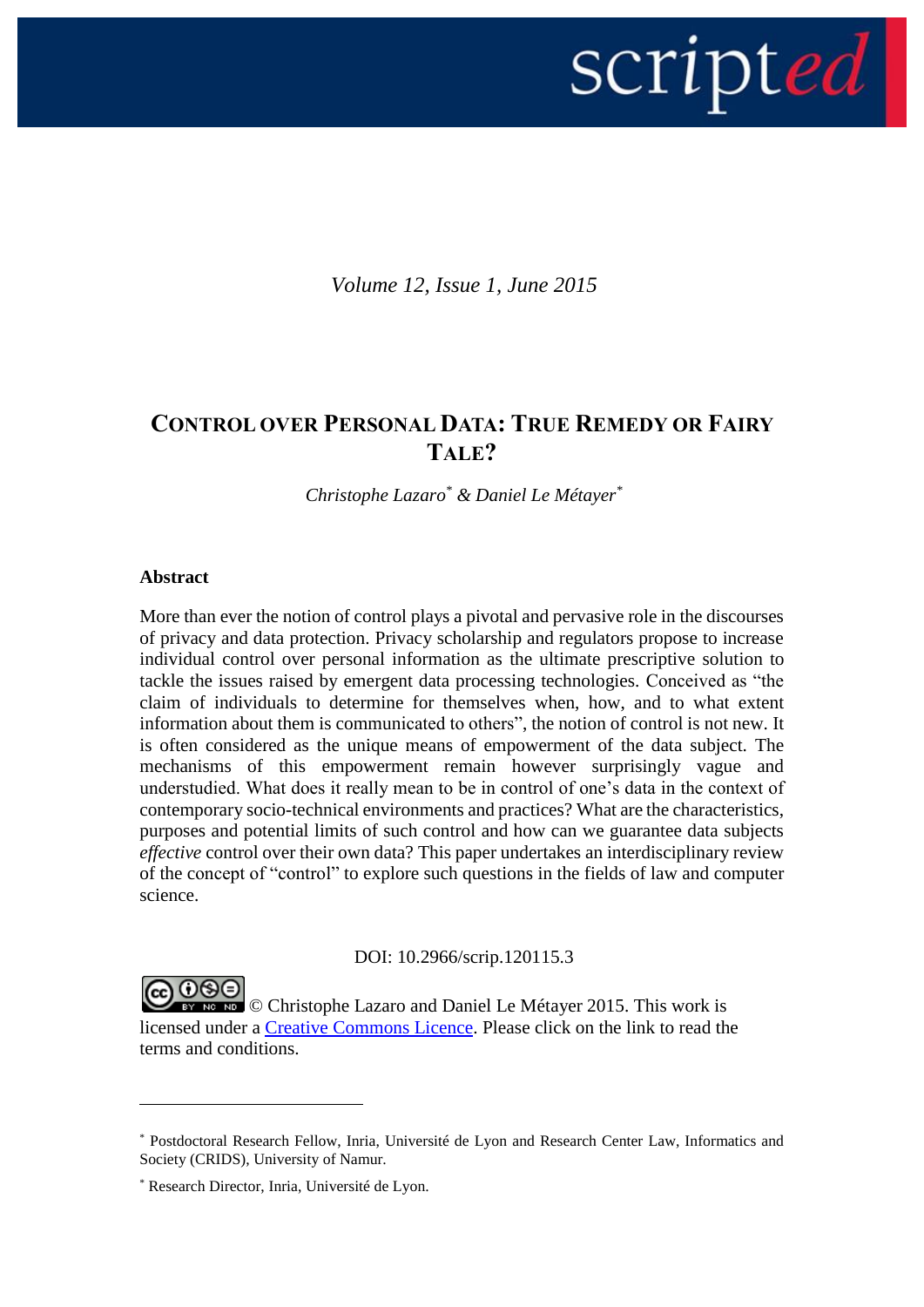

*Volume 12, Issue 1, June 2015*

# **CONTROL OVER PERSONAL DATA: TRUE REMEDY OR FAIRY TALE?**

*Christophe Lazaro\* & Daniel Le Métayer\**

## **Abstract**

<u>.</u>

More than ever the notion of control plays a pivotal and pervasive role in the discourses of privacy and data protection. Privacy scholarship and regulators propose to increase individual control over personal information as the ultimate prescriptive solution to tackle the issues raised by emergent data processing technologies. Conceived as "the claim of individuals to determine for themselves when, how, and to what extent information about them is communicated to others", the notion of control is not new. It is often considered as the unique means of empowerment of the data subject. The mechanisms of this empowerment remain however surprisingly vague and understudied. What does it really mean to be in control of one's data in the context of contemporary socio-technical environments and practices? What are the characteristics, purposes and potential limits of such control and how can we guarantee data subjects *effective* control over their own data? This paper undertakes an interdisciplinary review of the concept of "control" to explore such questions in the fields of law and computer science.

DOI: 10.2966/scrip.120115.3

COOOO Christophe Lazaro and Daniel Le Métayer 2015. This work is licensed under a [Creative Commons Licence.](http://creativecommons.org/licenses/by-nc-nd/2.5/scotland/) Please click on the link to read the terms and conditions.

<sup>\*</sup> Postdoctoral Research Fellow, Inria, Université de Lyon and Research Center Law, Informatics and Society (CRIDS), University of Namur.

<sup>\*</sup> Research Director, Inria, Université de Lyon.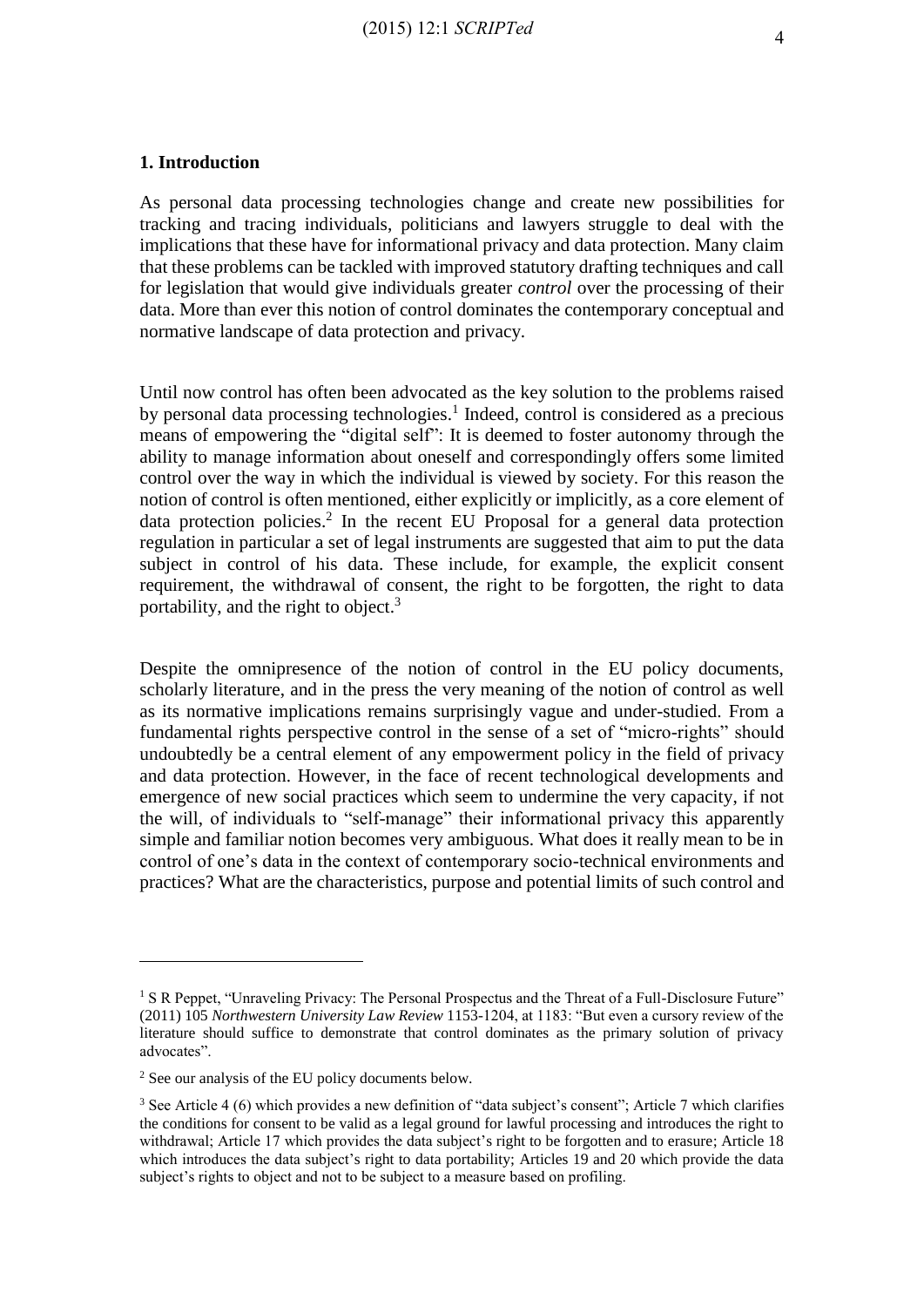#### **1. Introduction**

As personal data processing technologies change and create new possibilities for tracking and tracing individuals, politicians and lawyers struggle to deal with the implications that these have for informational privacy and data protection. Many claim that these problems can be tackled with improved statutory drafting techniques and call for legislation that would give individuals greater *control* over the processing of their data. More than ever this notion of control dominates the contemporary conceptual and normative landscape of data protection and privacy.

Until now control has often been advocated as the key solution to the problems raised by personal data processing technologies.<sup>1</sup> Indeed, control is considered as a precious means of empowering the "digital self": It is deemed to foster autonomy through the ability to manage information about oneself and correspondingly offers some limited control over the way in which the individual is viewed by society. For this reason the notion of control is often mentioned, either explicitly or implicitly, as a core element of data protection policies. 2 In the recent EU Proposal for a general data protection regulation in particular a set of legal instruments are suggested that aim to put the data subject in control of his data. These include, for example, the explicit consent requirement, the withdrawal of consent, the right to be forgotten, the right to data portability, and the right to object.<sup>3</sup>

Despite the omnipresence of the notion of control in the EU policy documents, scholarly literature, and in the press the very meaning of the notion of control as well as its normative implications remains surprisingly vague and under-studied. From a fundamental rights perspective control in the sense of a set of "micro-rights" should undoubtedly be a central element of any empowerment policy in the field of privacy and data protection. However, in the face of recent technological developments and emergence of new social practices which seem to undermine the very capacity, if not the will, of individuals to "self-manage" their informational privacy this apparently simple and familiar notion becomes very ambiguous. What does it really mean to be in control of one's data in the context of contemporary socio-technical environments and practices? What are the characteristics, purpose and potential limits of such control and

<sup>&</sup>lt;sup>1</sup> S R Peppet, "Unraveling Privacy: The Personal Prospectus and the Threat of a Full-Disclosure Future" (2011) 105 *Northwestern University Law Review* 1153-1204, at 1183: "But even a cursory review of the literature should suffice to demonstrate that control dominates as the primary solution of privacy advocates".

<sup>2</sup> See our analysis of the EU policy documents below.

<sup>3</sup> See Article 4 (6) which provides a new definition of "data subject's consent"; Article 7 which clarifies the conditions for consent to be valid as a legal ground for lawful processing and introduces the right to withdrawal; Article 17 which provides the data subject's right to be forgotten and to erasure; Article 18 which introduces the data subject's right to data portability; Articles 19 and 20 which provide the data subject's rights to object and not to be subject to a measure based on profiling.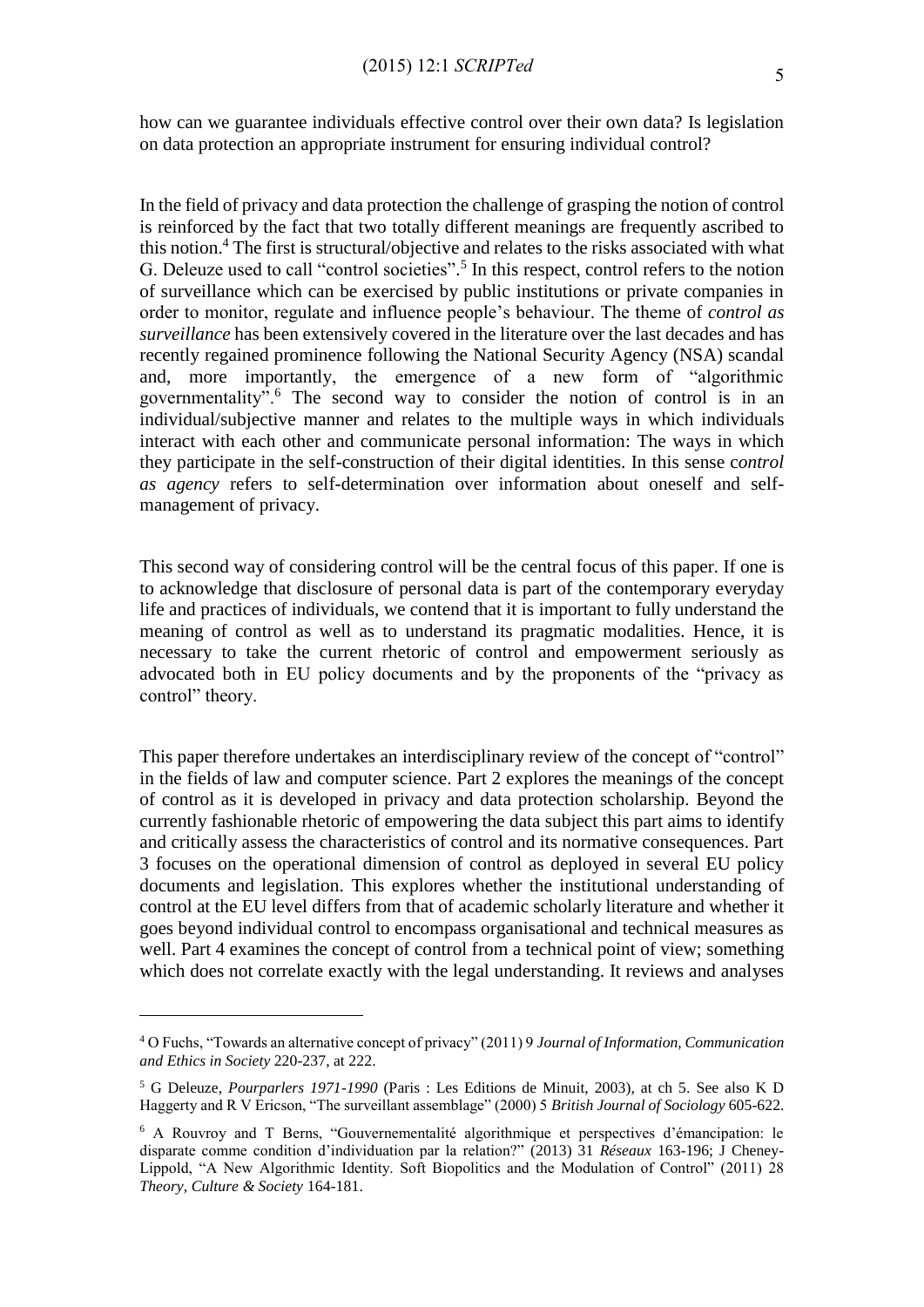how can we guarantee individuals effective control over their own data? Is legislation on data protection an appropriate instrument for ensuring individual control?

In the field of privacy and data protection the challenge of grasping the notion of control is reinforced by the fact that two totally different meanings are frequently ascribed to this notion. <sup>4</sup> The first is structural/objective and relates to the risks associated with what G. Deleuze used to call "control societies". 5 In this respect, control refers to the notion of surveillance which can be exercised by public institutions or private companies in order to monitor, regulate and influence people's behaviour. The theme of *control as surveillance* has been extensively covered in the literature over the last decades and has recently regained prominence following the National Security Agency (NSA) scandal and, more importantly, the emergence of a new form of "algorithmic governmentality".<sup>6</sup> The second way to consider the notion of control is in an individual/subjective manner and relates to the multiple ways in which individuals interact with each other and communicate personal information: The ways in which they participate in the self-construction of their digital identities. In this sense c*ontrol as agency* refers to self-determination over information about oneself and selfmanagement of privacy.

This second way of considering control will be the central focus of this paper. If one is to acknowledge that disclosure of personal data is part of the contemporary everyday life and practices of individuals, we contend that it is important to fully understand the meaning of control as well as to understand its pragmatic modalities. Hence, it is necessary to take the current rhetoric of control and empowerment seriously as advocated both in EU policy documents and by the proponents of the "privacy as control" theory.

This paper therefore undertakes an interdisciplinary review of the concept of "control" in the fields of law and computer science. Part 2 explores the meanings of the concept of control as it is developed in privacy and data protection scholarship. Beyond the currently fashionable rhetoric of empowering the data subject this part aims to identify and critically assess the characteristics of control and its normative consequences. Part 3 focuses on the operational dimension of control as deployed in several EU policy documents and legislation. This explores whether the institutional understanding of control at the EU level differs from that of academic scholarly literature and whether it goes beyond individual control to encompass organisational and technical measures as well. Part 4 examines the concept of control from a technical point of view; something which does not correlate exactly with the legal understanding. It reviews and analyses

<sup>4</sup> O Fuchs, "Towards an alternative concept of privacy" (2011) 9 *Journal of Information, Communication and Ethics in Society* 220-237, at 222.

<sup>5</sup> G Deleuze, *Pourparlers 1971-1990* (Paris : Les Editions de Minuit, 2003), at ch 5. See also K D Haggerty and R V Ericson, "The surveillant assemblage" (2000) 5 *British Journal of Sociology* 605-622.

<sup>6</sup> A Rouvroy and T Berns, "Gouvernementalité algorithmique et perspectives d'émancipation: le disparate comme condition d'individuation par la relation?" (2013) 31 *Réseaux* 163-196; J Cheney-Lippold, "A New Algorithmic Identity. Soft Biopolitics and the Modulation of Control" (2011) 28 *Theory, Culture & Society* 164-181.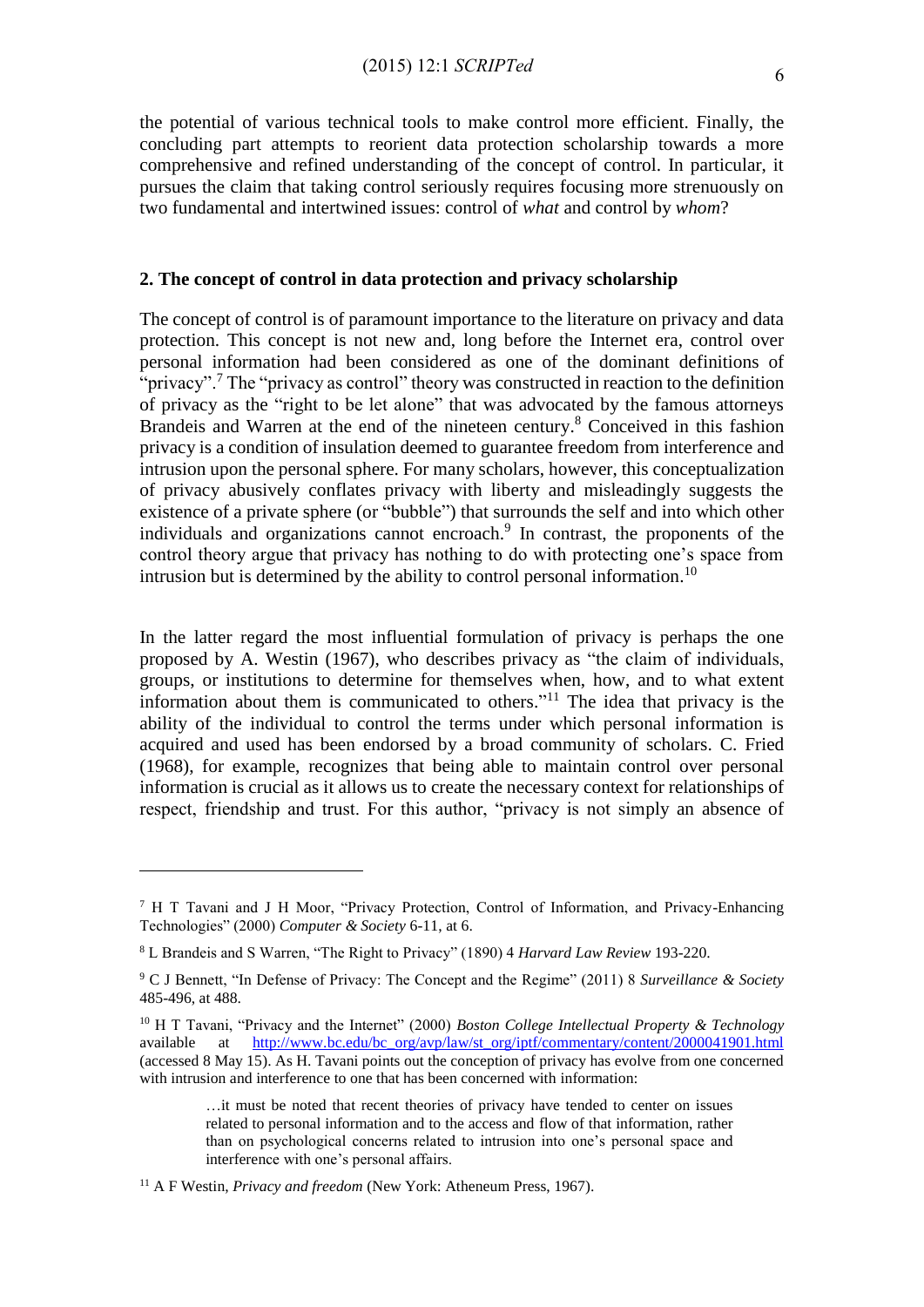the potential of various technical tools to make control more efficient. Finally, the concluding part attempts to reorient data protection scholarship towards a more comprehensive and refined understanding of the concept of control. In particular, it pursues the claim that taking control seriously requires focusing more strenuously on two fundamental and intertwined issues: control of *what* and control by *whom*?

## **2. The concept of control in data protection and privacy scholarship**

The concept of control is of paramount importance to the literature on privacy and data protection. This concept is not new and, long before the Internet era, control over personal information had been considered as one of the dominant definitions of "privacy".<sup>7</sup> The "privacy as control" theory was constructed in reaction to the definition of privacy as the "right to be let alone" that was advocated by the famous attorneys Brandeis and Warren at the end of the nineteen century. <sup>8</sup> Conceived in this fashion privacy is a condition of insulation deemed to guarantee freedom from interference and intrusion upon the personal sphere. For many scholars, however, this conceptualization of privacy abusively conflates privacy with liberty and misleadingly suggests the existence of a private sphere (or "bubble") that surrounds the self and into which other individuals and organizations cannot encroach. 9 In contrast, the proponents of the control theory argue that privacy has nothing to do with protecting one's space from intrusion but is determined by the ability to control personal information.<sup>10</sup>

In the latter regard the most influential formulation of privacy is perhaps the one proposed by A. Westin (1967), who describes privacy as "the claim of individuals, groups, or institutions to determine for themselves when, how, and to what extent information about them is communicated to others."<sup>11</sup> The idea that privacy is the ability of the individual to control the terms under which personal information is acquired and used has been endorsed by a broad community of scholars. C. Fried (1968), for example, recognizes that being able to maintain control over personal information is crucial as it allows us to create the necessary context for relationships of respect, friendship and trust. For this author, "privacy is not simply an absence of

<sup>7</sup> H T Tavani and J H Moor, "Privacy Protection, Control of Information, and Privacy-Enhancing Technologies" (2000) *Computer & Society* 6-11, at 6.

<sup>8</sup> L Brandeis and S Warren, "The Right to Privacy" (1890) 4 *Harvard Law Review* 193-220.

<sup>9</sup> C J Bennett, "In Defense of Privacy: The Concept and the Regime" (2011) 8 *Surveillance & Society* 485-496, at 488.

<sup>10</sup> H T Tavani, "Privacy and the Internet" (2000) *Boston College Intellectual Property & Technology* available at [http://www.bc.edu/bc\\_org/avp/law/st\\_org/iptf/commentary/content/2000041901.html](http://www.bc.edu/bc_org/avp/law/st_org/iptf/commentary/content/2000041901.html) (accessed 8 May 15). As H. Tavani points out the conception of privacy has evolve from one concerned with intrusion and interference to one that has been concerned with information:

<sup>…</sup>it must be noted that recent theories of privacy have tended to center on issues related to personal information and to the access and flow of that information, rather than on psychological concerns related to intrusion into one's personal space and interference with one's personal affairs.

<sup>11</sup> A F Westin, *Privacy and freedom* (New York: Atheneum Press, 1967).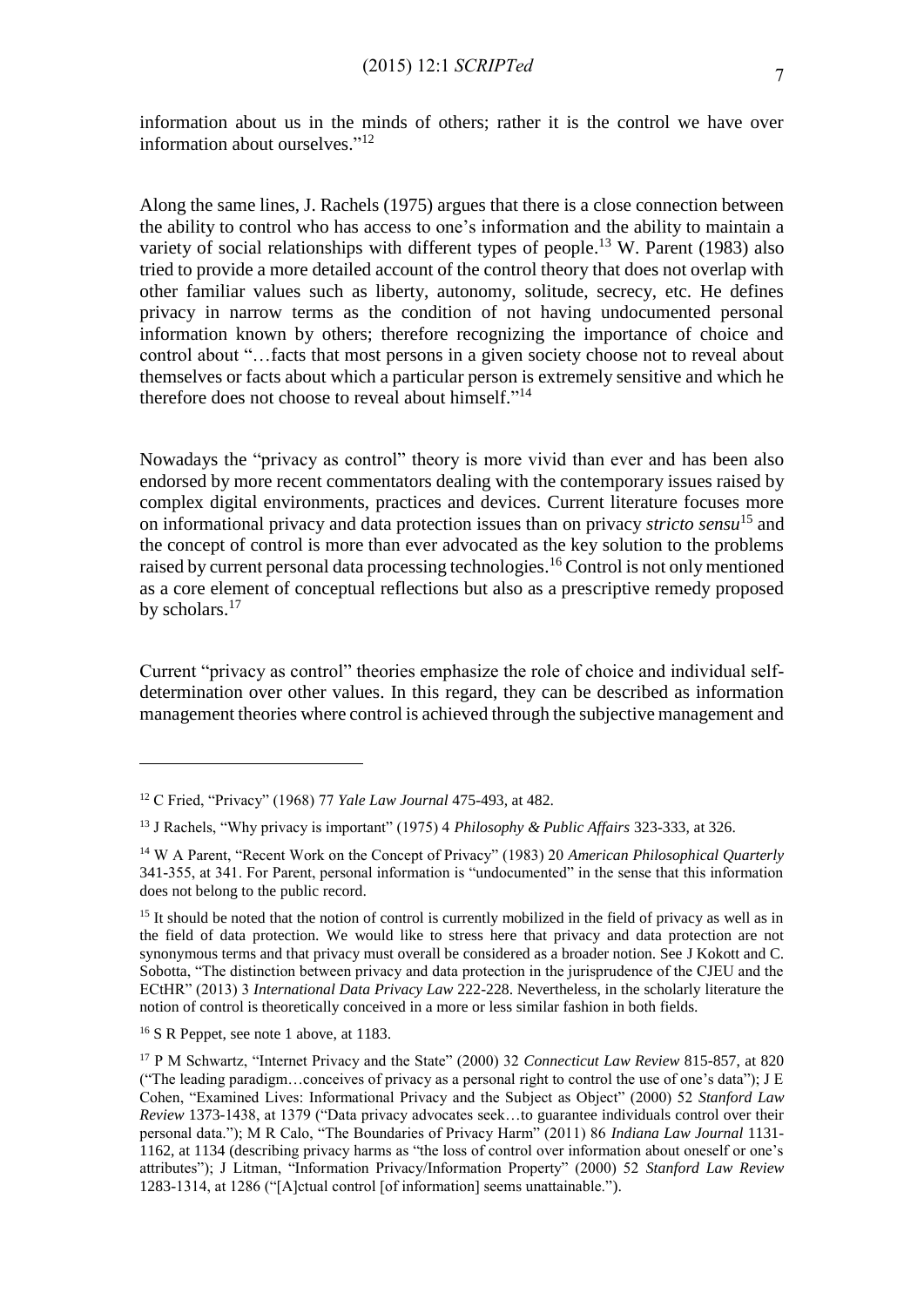Along the same lines, J. Rachels (1975) argues that there is a close connection between the ability to control who has access to one's information and the ability to maintain a variety of social relationships with different types of people.<sup>13</sup> W. Parent (1983) also tried to provide a more detailed account of the control theory that does not overlap with other familiar values such as liberty, autonomy, solitude, secrecy, etc. He defines privacy in narrow terms as the condition of not having undocumented personal information known by others; therefore recognizing the importance of choice and control about "…facts that most persons in a given society choose not to reveal about themselves or facts about which a particular person is extremely sensitive and which he therefore does not choose to reveal about himself."<sup>14</sup>

Nowadays the "privacy as control" theory is more vivid than ever and has been also endorsed by more recent commentators dealing with the contemporary issues raised by complex digital environments, practices and devices. Current literature focuses more on informational privacy and data protection issues than on privacy *stricto sensu*<sup>15</sup> and the concept of control is more than ever advocated as the key solution to the problems raised by current personal data processing technologies.<sup>16</sup> Control is not only mentioned as a core element of conceptual reflections but also as a prescriptive remedy proposed by scholars.<sup>17</sup>

Current "privacy as control" theories emphasize the role of choice and individual selfdetermination over other values. In this regard, they can be described as information management theories where control is achieved through the subjective management and

<sup>12</sup> C Fried, "Privacy" (1968) 77 *Yale Law Journal* 475-493, at 482.

<sup>13</sup> J Rachels, "Why privacy is important" (1975) 4 *Philosophy & Public Affairs* 323-333, at 326.

<sup>14</sup> W A Parent, "Recent Work on the Concept of Privacy" (1983) 20 *American Philosophical Quarterly* 341-355, at 341. For Parent, personal information is "undocumented" in the sense that this information does not belong to the public record.

<sup>&</sup>lt;sup>15</sup> It should be noted that the notion of control is currently mobilized in the field of privacy as well as in the field of data protection. We would like to stress here that privacy and data protection are not synonymous terms and that privacy must overall be considered as a broader notion. See [J Kokott](http://idpl.oxfordjournals.org/search?author1=Juliane+Kokott&sortspec=date&submit=Submit) and [C.](http://idpl.oxfordjournals.org/search?author1=Christoph+Sobotta&sortspec=date&submit=Submit)  [Sobotta,](http://idpl.oxfordjournals.org/search?author1=Christoph+Sobotta&sortspec=date&submit=Submit) "The distinction between privacy and data protection in the jurisprudence of the CJEU and the ECtHR" (2013) 3 *International Data Privacy Law* 222-228. Nevertheless, in the scholarly literature the notion of control is theoretically conceived in a more or less similar fashion in both fields.

<sup>&</sup>lt;sup>16</sup> S R Peppet, see note 1 above, at 1183.

<sup>17</sup> P M Schwartz, "Internet Privacy and the State" (2000) 32 *Connecticut Law Review* 815-857, at 820 ("The leading paradigm…conceives of privacy as a personal right to control the use of one's data"); J E Cohen, "Examined Lives: Informational Privacy and the Subject as Object" (2000) 52 *Stanford Law Review* 1373-1438, at 1379 ("Data privacy advocates seek…to guarantee individuals control over their personal data."); M R Calo, "The Boundaries of Privacy Harm" (2011) 86 *Indiana Law Journal* 1131- 1162, at 1134 (describing privacy harms as "the loss of control over information about oneself or one's attributes"); J Litman, "Information Privacy/Information Property" (2000) 52 *Stanford Law Review* 1283-1314, at 1286 ("[A]ctual control [of information] seems unattainable.").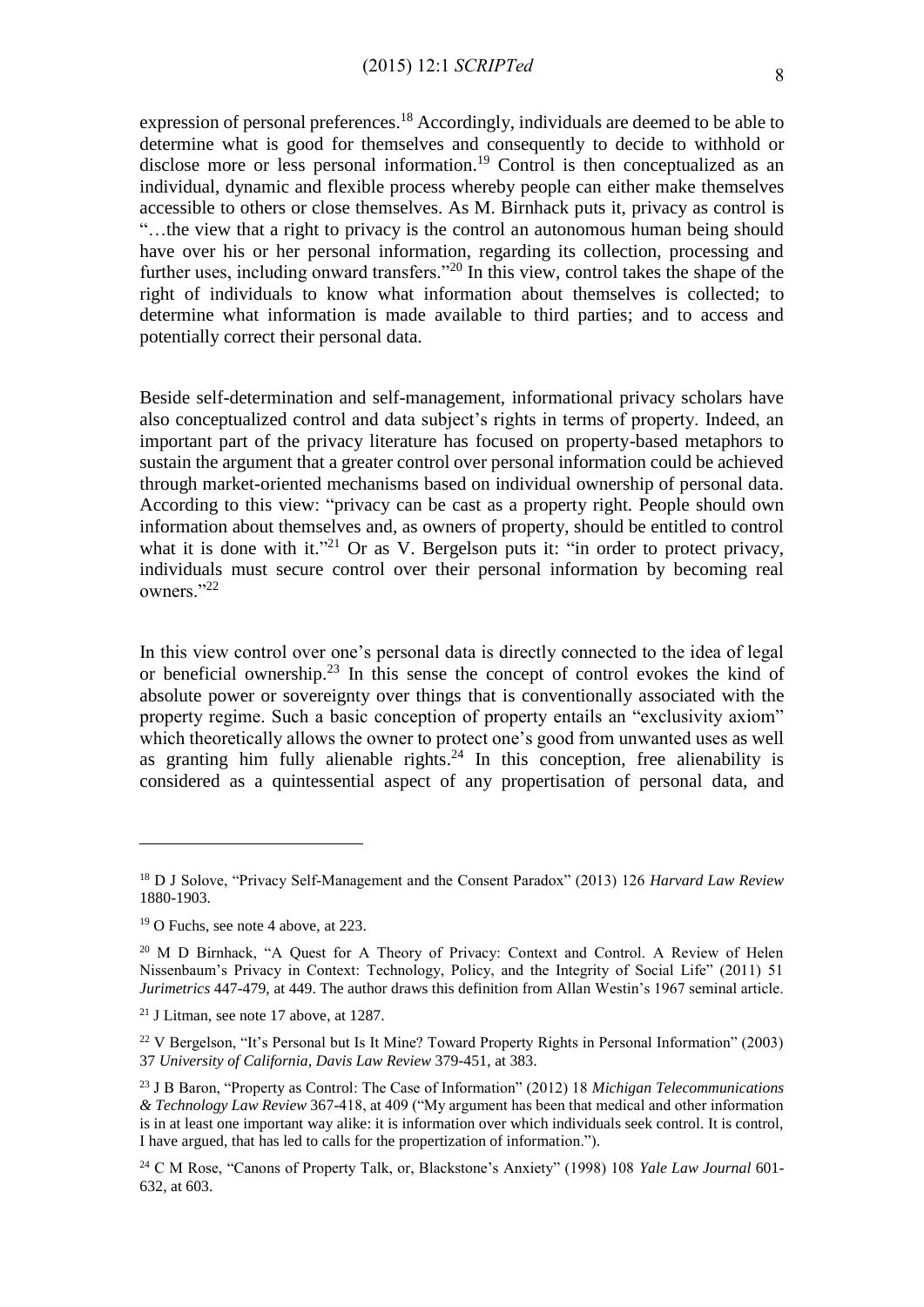expression of personal preferences.<sup>18</sup> Accordingly, individuals are deemed to be able to determine what is good for themselves and consequently to decide to withhold or disclose more or less personal information.<sup>19</sup> Control is then conceptualized as an individual, dynamic and flexible process whereby people can either make themselves accessible to others or close themselves. As M. Birnhack puts it, privacy as control is "…the view that a right to privacy is the control an autonomous human being should have over his or her personal information, regarding its collection, processing and further uses, including onward transfers."<sup>20</sup> In this view, control takes the shape of the right of individuals to know what information about themselves is collected; to determine what information is made available to third parties; and to access and potentially correct their personal data.

Beside self-determination and self-management, informational privacy scholars have also conceptualized control and data subject's rights in terms of property. Indeed, an important part of the privacy literature has focused on property-based metaphors to sustain the argument that a greater control over personal information could be achieved through market-oriented mechanisms based on individual ownership of personal data. According to this view: "privacy can be cast as a property right. People should own information about themselves and, as owners of property, should be entitled to control what it is done with it."<sup>21</sup> Or as V. Bergelson puts it: "in order to protect privacy, individuals must secure control over their personal information by becoming real owners."<sup>22</sup>

In this view control over one's personal data is directly connected to the idea of legal or beneficial ownership.<sup>23</sup> In this sense the concept of control evokes the kind of absolute power or sovereignty over things that is conventionally associated with the property regime. Such a basic conception of property entails an "exclusivity axiom" which theoretically allows the owner to protect one's good from unwanted uses as well as granting him fully alienable rights. $24$  In this conception, free alienability is considered as a quintessential aspect of any propertisation of personal data, and

<sup>18</sup> D J Solove, "Privacy Self-Management and the Consent Paradox" (2013) 126 *Harvard Law Review* 1880-1903.

<sup>19</sup> O Fuchs, see note 4 above, at 223.

<sup>&</sup>lt;sup>20</sup> M D Birnhack, "A Quest for A Theory of Privacy: Context and Control. A Review of Helen Nissenbaum's Privacy in Context: Technology, Policy, and the Integrity of Social Life" (2011) 51 *Jurimetrics* 447-479, at 449. The author draws this definition from Allan Westin's 1967 seminal article.

<sup>21</sup> J Litman, see note 17 above, at 1287.

<sup>22</sup> V Bergelson, "It's Personal but Is It Mine? Toward Property Rights in Personal Information" (2003) 37 *University of California, Davis Law Review* 379-451, at 383.

<sup>23</sup> J B Baron, "Property as Control: The Case of Information" (2012) 18 *Michigan Telecommunications & Technology Law Review* 367-418, at 409 ("My argument has been that medical and other information is in at least one important way alike: it is information over which individuals seek control. It is control, I have argued, that has led to calls for the propertization of information.").

<sup>24</sup> C M Rose, "Canons of Property Talk, or, Blackstone's Anxiety" (1998) 108 *Yale Law Journal* 601- 632, at 603.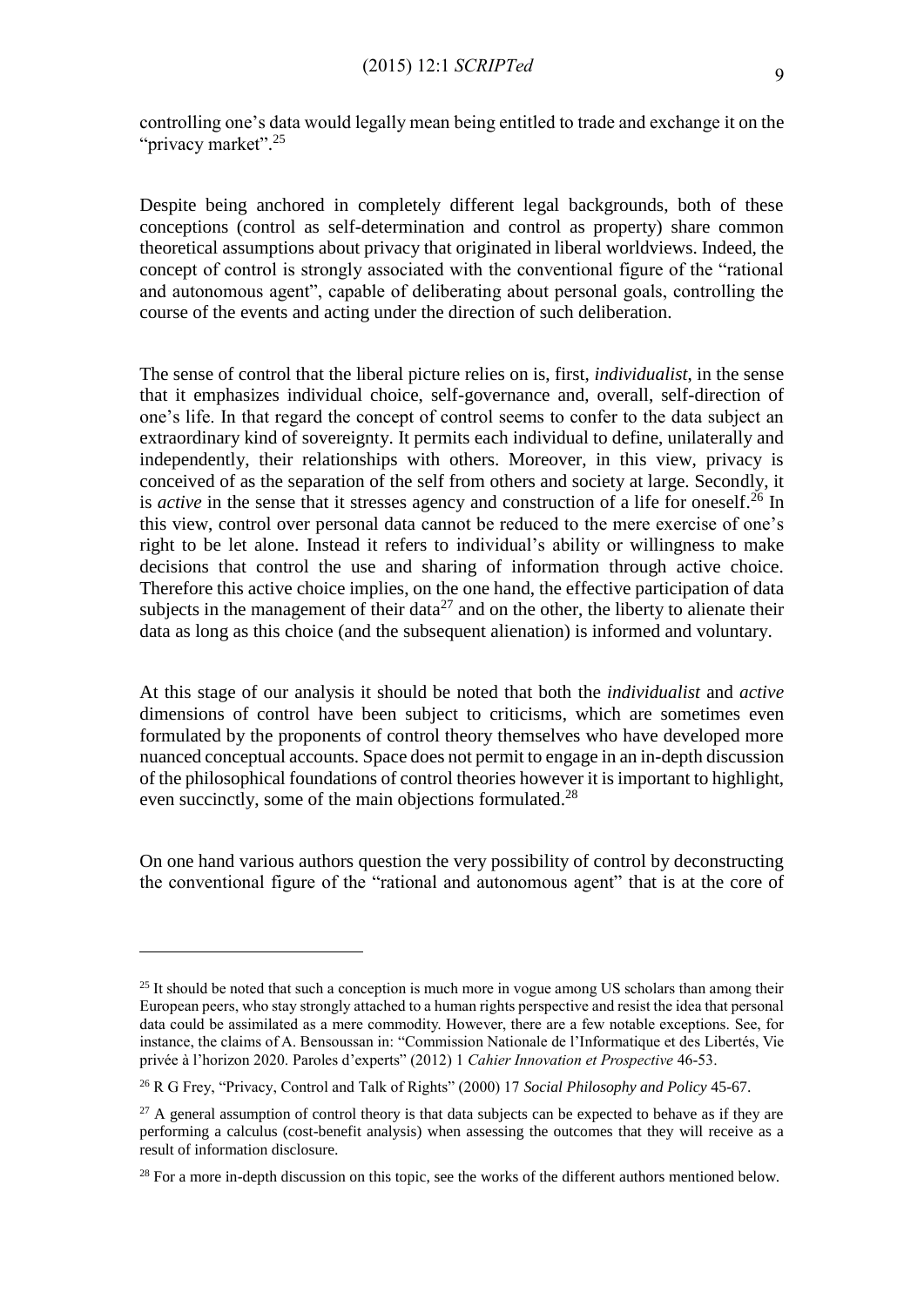controlling one's data would legally mean being entitled to trade and exchange it on the "privacy market".<sup>25</sup>

Despite being anchored in completely different legal backgrounds, both of these conceptions (control as self-determination and control as property) share common theoretical assumptions about privacy that originated in liberal worldviews. Indeed, the concept of control is strongly associated with the conventional figure of the "rational and autonomous agent", capable of deliberating about personal goals, controlling the course of the events and acting under the direction of such deliberation.

The sense of control that the liberal picture relies on is, first, *individualist*, in the sense that it emphasizes individual choice, self-governance and, overall, self-direction of one's life. In that regard the concept of control seems to confer to the data subject an extraordinary kind of sovereignty. It permits each individual to define, unilaterally and independently, their relationships with others. Moreover, in this view, privacy is conceived of as the separation of the self from others and society at large. Secondly, it is *active* in the sense that it stresses agency and construction of a life for oneself.<sup>26</sup> In this view, control over personal data cannot be reduced to the mere exercise of one's right to be let alone. Instead it refers to individual's ability or willingness to make decisions that control the use and sharing of information through active choice. Therefore this active choice implies, on the one hand, the effective participation of data subjects in the management of their data<sup>27</sup> and on the other, the liberty to alienate their data as long as this choice (and the subsequent alienation) is informed and voluntary.

At this stage of our analysis it should be noted that both the *individualist* and *active* dimensions of control have been subject to criticisms, which are sometimes even formulated by the proponents of control theory themselves who have developed more nuanced conceptual accounts. Space does not permit to engage in an in-depth discussion of the philosophical foundations of control theories however it is important to highlight, even succinctly, some of the main objections formulated.<sup>28</sup>

On one hand various authors question the very possibility of control by deconstructing the conventional figure of the "rational and autonomous agent" that is at the core of

<sup>&</sup>lt;sup>25</sup> It should be noted that such a conception is much more in vogue among US scholars than among their European peers, who stay strongly attached to a human rights perspective and resist the idea that personal data could be assimilated as a mere commodity. However, there are a few notable exceptions. See, for instance, the claims of A. Bensoussan in: "Commission Nationale de l'Informatique et des Libertés, Vie privée à l'horizon 2020. Paroles d'experts" (2012) 1 *Cahier Innovation et Prospective* 46-53.

<sup>26</sup> R G Frey, "Privacy, Control and Talk of Rights" (2000) 17 *Social Philosophy and Policy* 45-67.

 $27$  A general assumption of control theory is that data subjects can be expected to behave as if they are performing a calculus (cost-benefit analysis) when assessing the outcomes that they will receive as a result of information disclosure.

<sup>&</sup>lt;sup>28</sup> For a more in-depth discussion on this topic, see the works of the different authors mentioned below.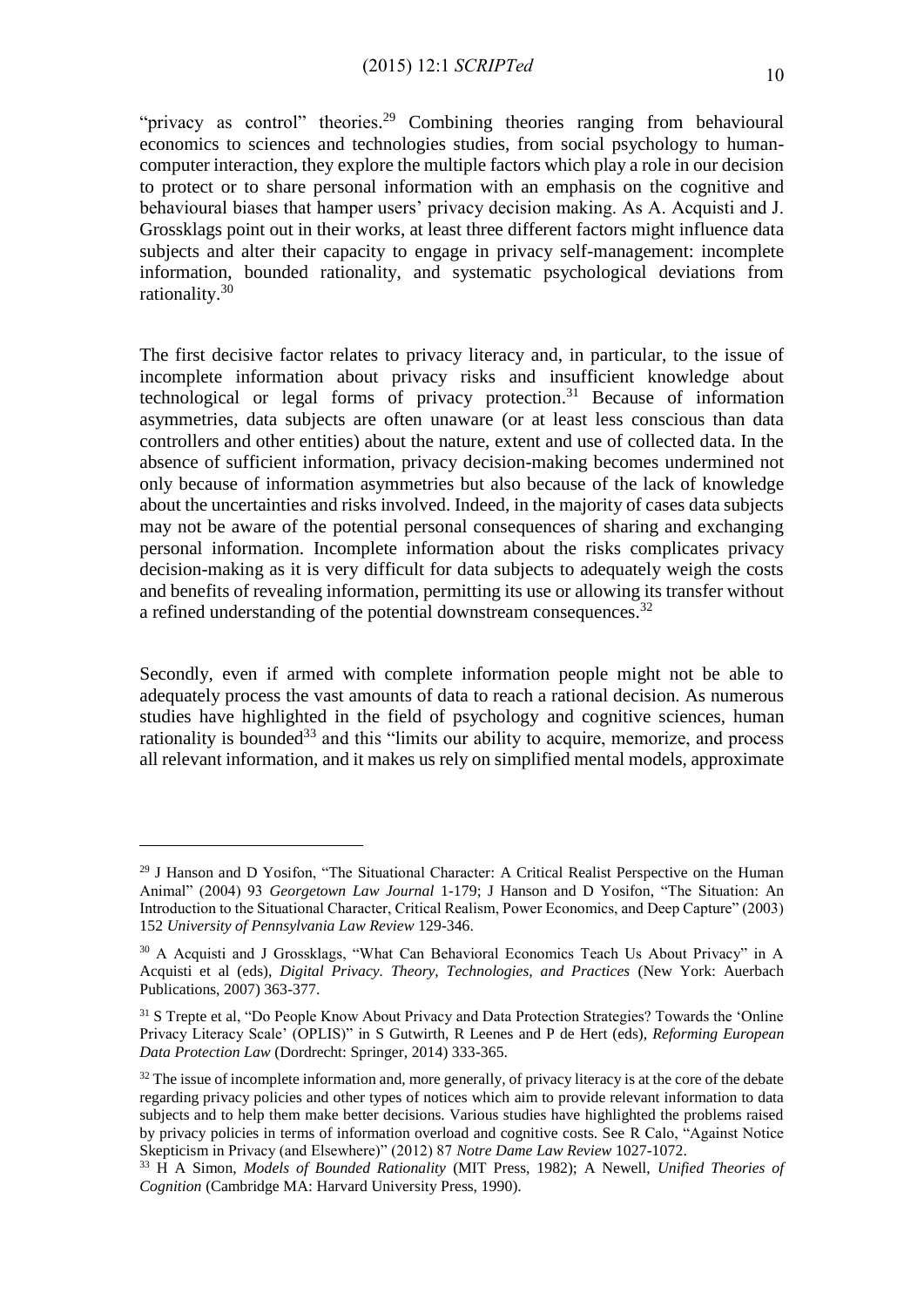"privacy as control" theories.<sup>29</sup> Combining theories ranging from behavioural economics to sciences and technologies studies, from social psychology to humancomputer interaction, they explore the multiple factors which play a role in our decision to protect or to share personal information with an emphasis on the cognitive and behavioural biases that hamper users' privacy decision making. As A. Acquisti and J. Grossklags point out in their works, at least three different factors might influence data subjects and alter their capacity to engage in privacy self-management: incomplete information, bounded rationality, and systematic psychological deviations from rationality.<sup>30</sup>

The first decisive factor relates to privacy literacy and, in particular, to the issue of incomplete information about privacy risks and insufficient knowledge about technological or legal forms of privacy protection. <sup>31</sup> Because of information asymmetries, data subjects are often unaware (or at least less conscious than data controllers and other entities) about the nature, extent and use of collected data. In the absence of sufficient information, privacy decision-making becomes undermined not only because of information asymmetries but also because of the lack of knowledge about the uncertainties and risks involved. Indeed, in the majority of cases data subjects may not be aware of the potential personal consequences of sharing and exchanging personal information. Incomplete information about the risks complicates privacy decision-making as it is very difficult for data subjects to adequately weigh the costs and benefits of revealing information, permitting its use or allowing its transfer without a refined understanding of the potential downstream consequences.<sup>32</sup>

Secondly, even if armed with complete information people might not be able to adequately process the vast amounts of data to reach a rational decision. As numerous studies have highlighted in the field of psychology and cognitive sciences, human rationality is bounded<sup>33</sup> and this "limits our ability to acquire, memorize, and process all relevant information, and it makes us rely on simplified mental models, approximate

<sup>&</sup>lt;sup>29</sup> J Hanson and D Yosifon, "The Situational Character: A Critical Realist Perspective on the Human Animal" (2004) 93 *Georgetown Law Journal* 1-179; J Hanson and D Yosifon, "The Situation: An Introduction to the Situational Character, Critical Realism, Power Economics, and Deep Capture" (2003) 152 *University of Pennsylvania Law Review* 129-346.

<sup>30</sup> A Acquisti and J Grossklags, "What Can Behavioral Economics Teach Us About Privacy" in A Acquisti et al (eds), *Digital Privacy. Theory, Technologies, and Practices* (New York: Auerbach Publications, 2007) 363-377.

<sup>&</sup>lt;sup>31</sup> S Trepte et al, "Do People Know About Privacy and Data Protection Strategies? Towards the 'Online Privacy Literacy Scale' (OPLIS)" in [S Gutwirth,](http://link.springer.com/search?facet-creator=%22Serge+Gutwirth%22) [R Leenes](http://link.springer.com/search?facet-creator=%22Ronald+Leenes%22) and [P de Hert](http://link.springer.com/search?facet-creator=%22Paul+de+Hert%22) (eds), *Reforming European Data Protection Law* (Dordrecht: Springer, 2014) 333-365.

<sup>&</sup>lt;sup>32</sup> The issue of incomplete information and, more generally, of privacy literacy is at the core of the debate regarding privacy policies and other types of notices which aim to provide relevant information to data subjects and to help them make better decisions. Various studies have highlighted the problems raised by privacy policies in terms of information overload and cognitive costs. See R Calo, "Against Notice Skepticism in Privacy (and Elsewhere)" (2012) 87 *Notre Dame Law Review* 1027-1072.

<sup>33</sup> H A Simon, *Models of Bounded Rationality* (MIT Press, 1982); A Newell, *Unified Theories of Cognition* (Cambridge MA: Harvard University Press, 1990).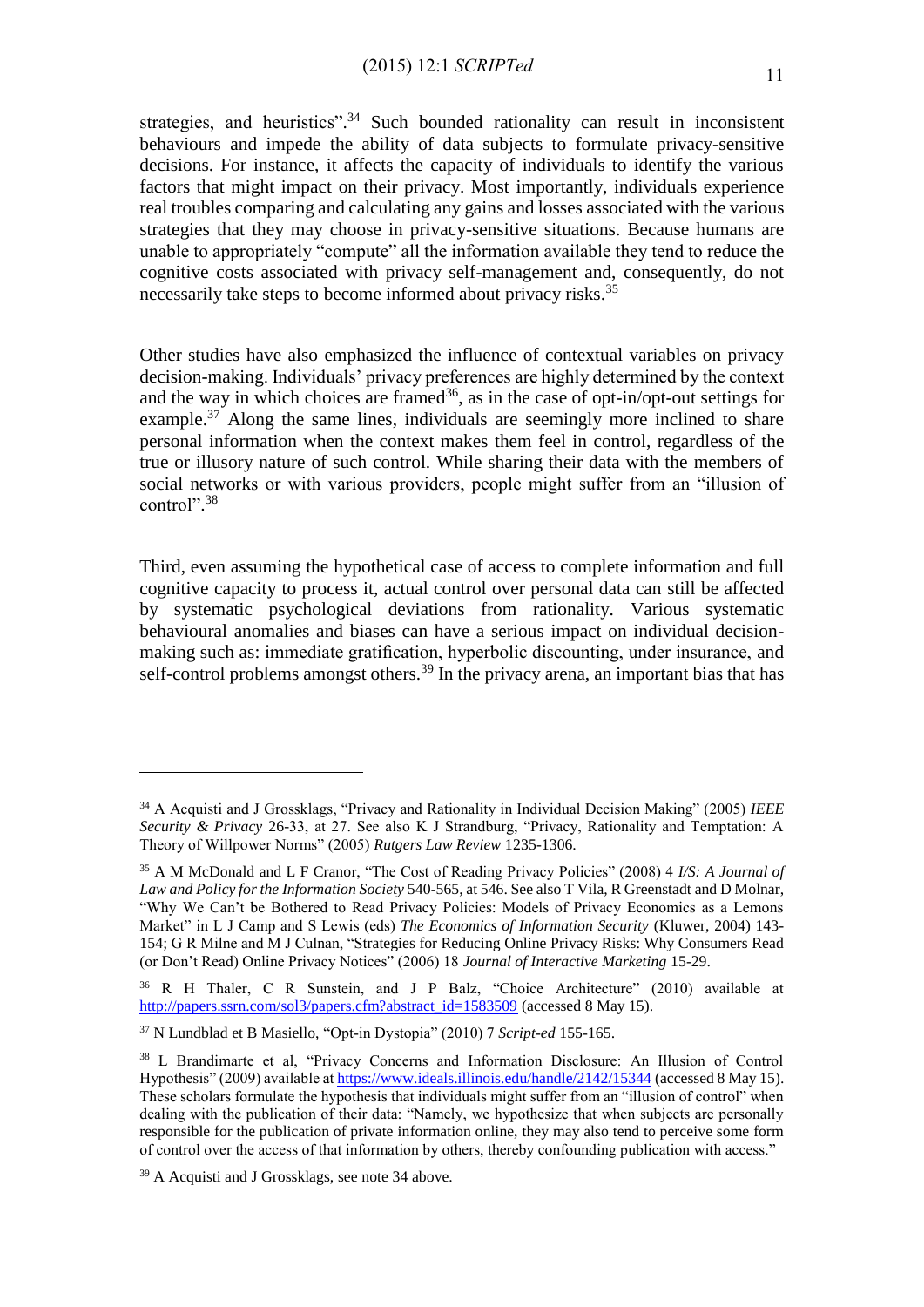strategies, and heuristics".<sup>34</sup> Such bounded rationality can result in inconsistent behaviours and impede the ability of data subjects to formulate privacy-sensitive decisions. For instance, it affects the capacity of individuals to identify the various factors that might impact on their privacy. Most importantly, individuals experience real troubles comparing and calculating any gains and losses associated with the various strategies that they may choose in privacy-sensitive situations. Because humans are unable to appropriately "compute" all the information available they tend to reduce the cognitive costs associated with privacy self-management and, consequently, do not necessarily take steps to become informed about privacy risks.<sup>35</sup>

Other studies have also emphasized the influence of contextual variables on privacy decision-making. Individuals' privacy preferences are highly determined by the context and the way in which choices are framed  $36$ , as in the case of opt-in/opt-out settings for example.<sup>37</sup> Along the same lines, individuals are seemingly more inclined to share personal information when the context makes them feel in control, regardless of the true or illusory nature of such control. While sharing their data with the members of social networks or with various providers, people might suffer from an "illusion of control". 38

Third, even assuming the hypothetical case of access to complete information and full cognitive capacity to process it, actual control over personal data can still be affected by systematic psychological deviations from rationality. Various systematic behavioural anomalies and biases can have a serious impact on individual decisionmaking such as: immediate gratification, hyperbolic discounting, under insurance, and self-control problems amongst others.<sup>39</sup> In the privacy arena, an important bias that has

<sup>34</sup> A Acquisti and J Grossklags, "Privacy and Rationality in Individual Decision Making" (2005) *IEEE Security & Privacy* 26-33, at 27. See also K J Strandburg, "Privacy, Rationality and Temptation: A Theory of Willpower Norms" (2005) *Rutgers Law Review* 1235-1306.

<sup>35</sup> A M McDonald and L F Cranor, "The Cost of Reading Privacy Policies" (2008) 4 *I/S: A Journal of Law and Policy for the Information Society* 540-565, at 546. See also T Vila, R Greenstadt and D Molnar, "Why We Can't be Bothered to Read Privacy Policies: Models of Privacy Economics as a Lemons Market" in L J Camp and S Lewis (eds) *The Economics of Information Security* (Kluwer, 2004) 143- 154; G R Milne and M J Culnan, "Strategies for Reducing Online Privacy Risks: Why Consumers Read (or Don't Read) Online Privacy Notices" (2006) 18 *Journal of Interactive Marketing* 15-29.

<sup>36</sup> R H Thaler, C R Sunstein, and J P Balz, "Choice Architecture" (2010) available at [http://papers.ssrn.com/sol3/papers.cfm?abstract\\_id=1583509](http://papers.ssrn.com/sol3/papers.cfm?abstract_id=1583509) (accessed 8 May 15).

<sup>37</sup> N Lundblad et B Masiello, "Opt-in Dystopia" (2010) 7 *Script-ed* 155-165.

<sup>38</sup> L Brandimarte et al, "Privacy Concerns and Information Disclosure: An Illusion of Control Hypothesis" (2009) available a[t https://www.ideals.illinois.edu/handle/2142/15344](https://www.ideals.illinois.edu/handle/2142/15344) (accessed 8 May 15). These scholars formulate the hypothesis that individuals might suffer from an "illusion of control" when dealing with the publication of their data: "Namely, we hypothesize that when subjects are personally responsible for the publication of private information online, they may also tend to perceive some form of control over the access of that information by others, thereby confounding publication with access."

<sup>39</sup> A Acquisti and J Grossklags, see note 34 above.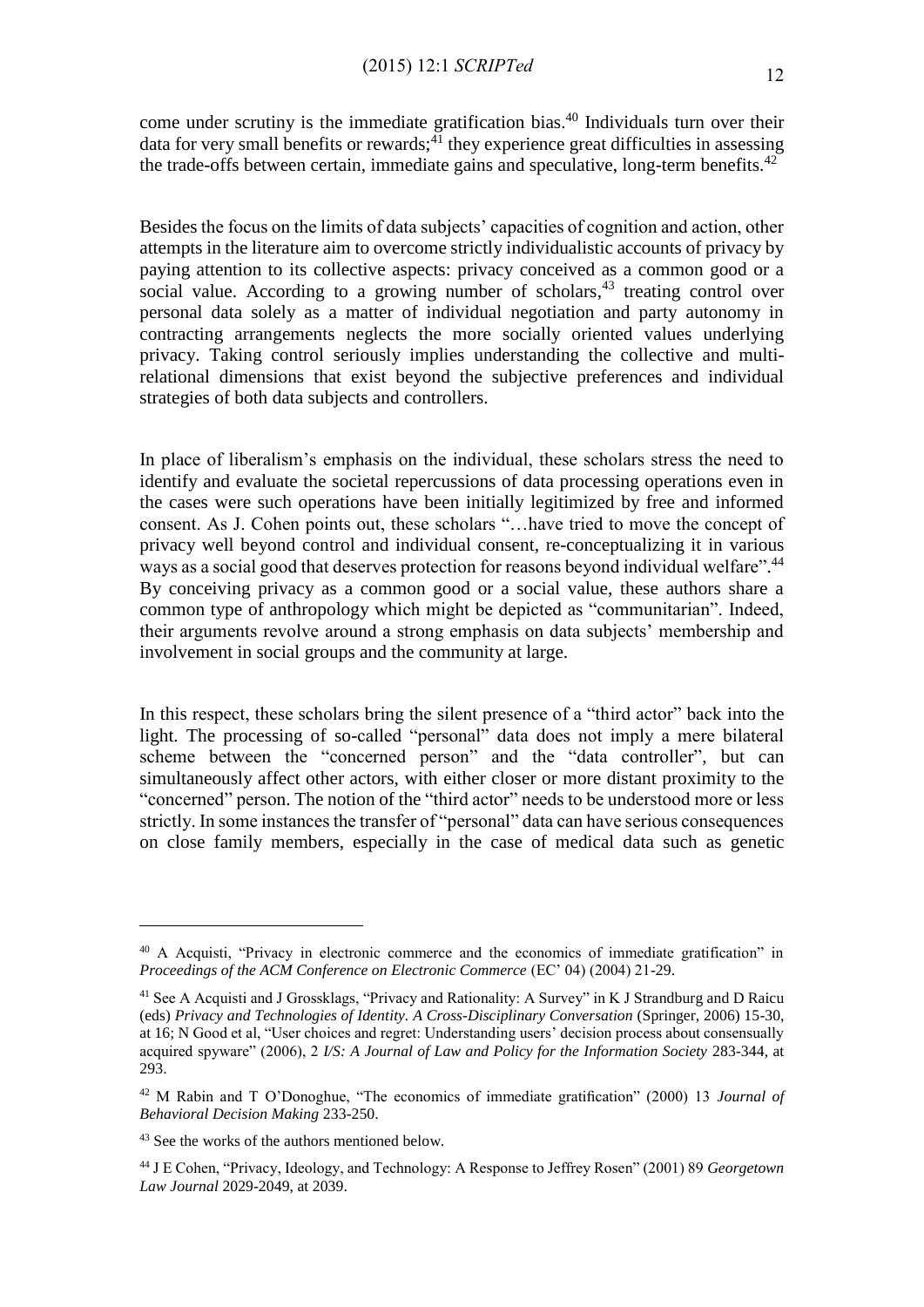come under scrutiny is the immediate gratification bias. <sup>40</sup> Individuals turn over their data for very small benefits or rewards;<sup>41</sup> they experience great difficulties in assessing the trade-offs between certain, immediate gains and speculative, long-term benefits.<sup>42</sup>

Besides the focus on the limits of data subjects' capacities of cognition and action, other attempts in the literature aim to overcome strictly individualistic accounts of privacy by paying attention to its collective aspects: privacy conceived as a common good or a social value. According to a growing number of scholars,<sup>43</sup> treating control over personal data solely as a matter of individual negotiation and party autonomy in contracting arrangements neglects the more socially oriented values underlying privacy. Taking control seriously implies understanding the collective and multirelational dimensions that exist beyond the subjective preferences and individual strategies of both data subjects and controllers.

In place of liberalism's emphasis on the individual, these scholars stress the need to identify and evaluate the societal repercussions of data processing operations even in the cases were such operations have been initially legitimized by free and informed consent. As J. Cohen points out, these scholars "…have tried to move the concept of privacy well beyond control and individual consent, re-conceptualizing it in various ways as a social good that deserves protection for reasons beyond individual welfare".<sup>44</sup> By conceiving privacy as a common good or a social value, these authors share a common type of anthropology which might be depicted as "communitarian". Indeed, their arguments revolve around a strong emphasis on data subjects' membership and involvement in social groups and the community at large.

In this respect, these scholars bring the silent presence of a "third actor" back into the light. The processing of so-called "personal" data does not imply a mere bilateral scheme between the "concerned person" and the "data controller", but can simultaneously affect other actors, with either closer or more distant proximity to the "concerned" person. The notion of the "third actor" needs to be understood more or less strictly. In some instances the transfer of "personal" data can have serious consequences on close family members, especially in the case of medical data such as genetic

<sup>40</sup> A Acquisti, "Privacy in electronic commerce and the economics of immediate gratification" in *Proceedings of the ACM Conference on Electronic Commerce* (EC' 04) (2004) 21-29.

<sup>&</sup>lt;sup>41</sup> See A Acquisti and J Grossklags, "Privacy and Rationality: A Survey" in K J Strandburg and D Raicu (eds) *Privacy and Technologies of Identity. A Cross-Disciplinary Conversation* (Springer, 2006) 15-30, at 16; N Good et al, "User choices and regret: Understanding users' decision process about consensually acquired spyware" (2006), 2 *I/S: A Journal of Law and Policy for the Information Society* 283-344, at 293.

<sup>42</sup> M Rabin and T O'Donoghue, "The economics of immediate gratification" (2000) 13 *Journal of Behavioral Decision Making* 233-250.

<sup>43</sup> See the works of the authors mentioned below.

<sup>44</sup> J E Cohen, "Privacy, Ideology, and Technology: A Response to Jeffrey Rosen" (2001) 89 *Georgetown Law Journal* 2029-2049, at 2039.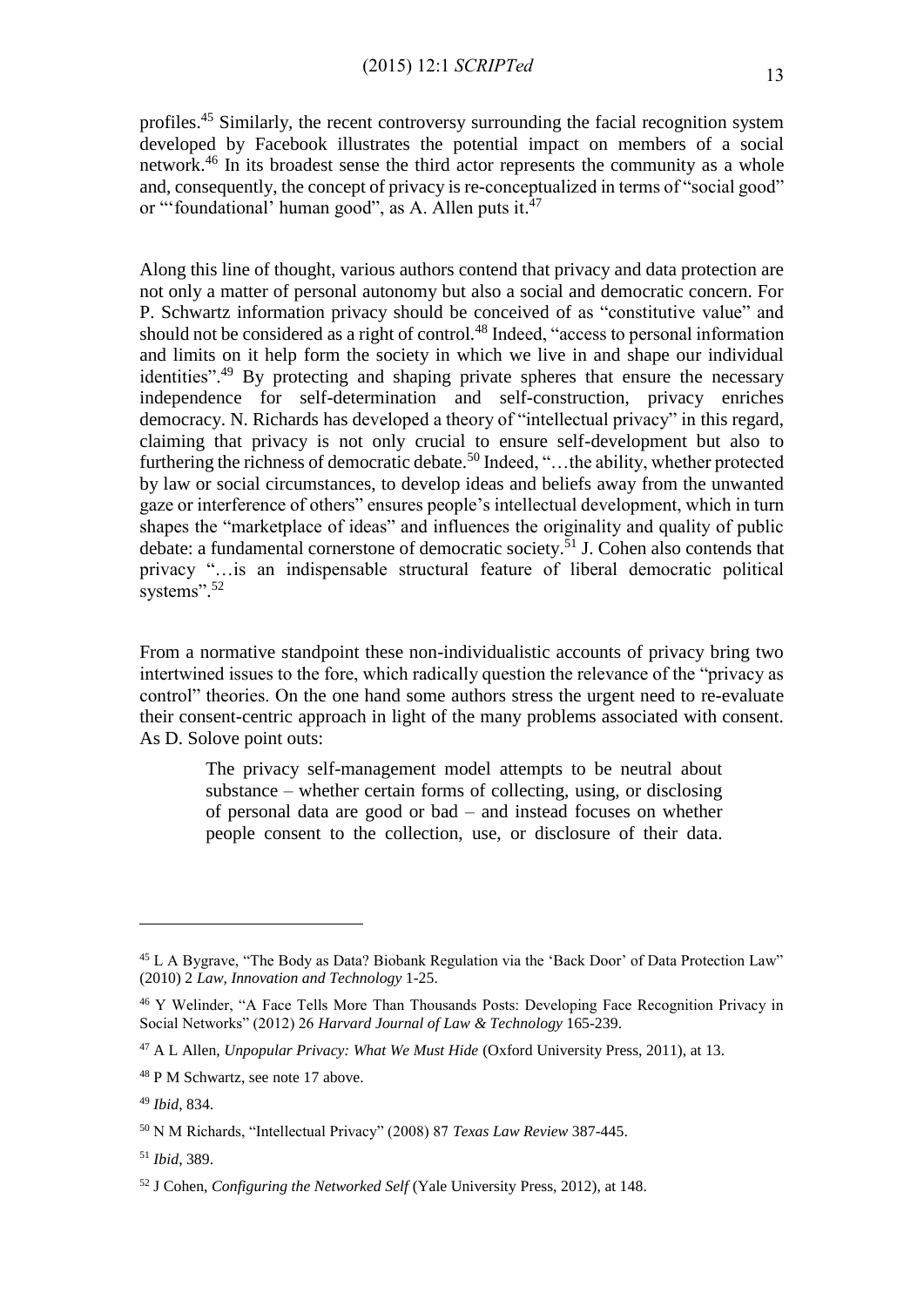profiles.<sup>45</sup> Similarly, the recent controversy surrounding the facial recognition system developed by Facebook illustrates the potential impact on members of a social network. <sup>46</sup> In its broadest sense the third actor represents the community as a whole and, consequently, the concept of privacy is re-conceptualized in terms of "social good" or "'foundational' human good", as A. Allen puts it.<sup>47</sup>

Along this line of thought, various authors contend that privacy and data protection are not only a matter of personal autonomy but also a social and democratic concern. For P. Schwartz information privacy should be conceived of as "constitutive value" and should not be considered as a right of control.<sup>48</sup> Indeed, "access to personal information and limits on it help form the society in which we live in and shape our individual identities".<sup>49</sup> By protecting and shaping private spheres that ensure the necessary independence for self-determination and self-construction, privacy enriches democracy. N. Richards has developed a theory of "intellectual privacy" in this regard, claiming that privacy is not only crucial to ensure self-development but also to furthering the richness of democratic debate.<sup>50</sup> Indeed, "...the ability, whether protected by law or social circumstances, to develop ideas and beliefs away from the unwanted gaze or interference of others" ensures people's intellectual development, which in turn shapes the "marketplace of ideas" and influences the originality and quality of public debate: a fundamental cornerstone of democratic society.<sup>51</sup> J. Cohen also contends that privacy "…is an indispensable structural feature of liberal democratic political systems".<sup>52</sup>

From a normative standpoint these non-individualistic accounts of privacy bring two intertwined issues to the fore, which radically question the relevance of the "privacy as control" theories. On the one hand some authors stress the urgent need to re-evaluate their consent-centric approach in light of the many problems associated with consent. As D. Solove point outs:

> The privacy self-management model attempts to be neutral about substance – whether certain forms of collecting, using, or disclosing of personal data are good or bad – and instead focuses on whether people consent to the collection, use, or disclosure of their data.

1

<sup>51</sup> *Ibid*, 389.

<sup>45</sup> L A Bygrave, "The Body as Data? Biobank Regulation via the 'Back Door' of Data Protection Law" (2010) 2 *Law, Innovation and Technology* 1-25.

<sup>46</sup> Y Welinder, "A Face Tells More Than Thousands Posts: Developing Face Recognition Privacy in Social Networks" (2012) 26 *Harvard Journal of Law & Technology* 165-239.

<sup>47</sup> A L Allen, *Unpopular Privacy: What We Must Hide* (Oxford University Press, 2011), at 13.

<sup>48</sup> P M Schwartz, see note 17 above.

<sup>49</sup> *Ibid*, 834.

<sup>50</sup> N M Richards, "Intellectual Privacy" (2008) 87 *Texas Law Review* 387-445.

<sup>52</sup> J Cohen, *Configuring the Networked Self* (Yale University Press, 2012), at 148.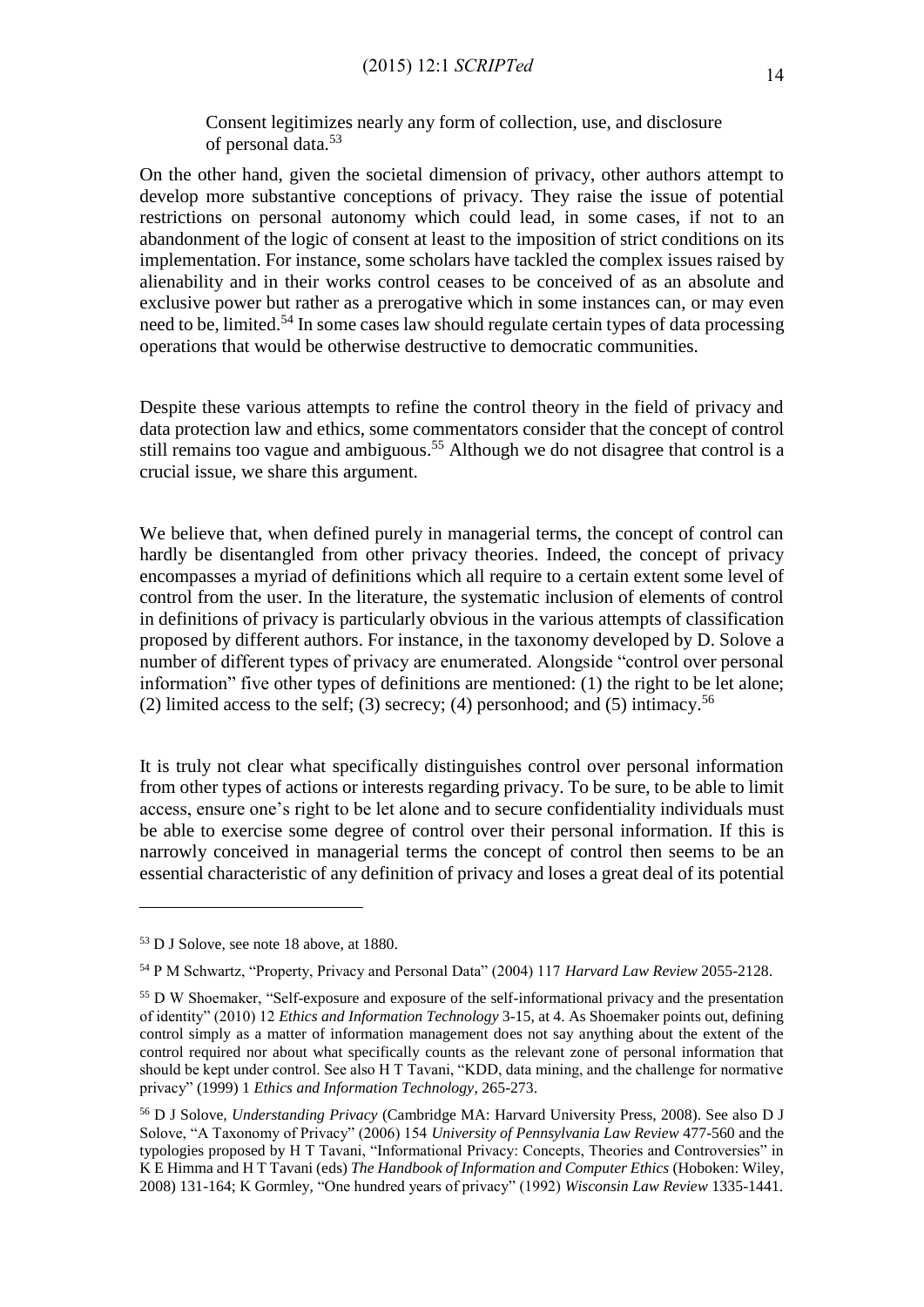Consent legitimizes nearly any form of collection, use, and disclosure of personal data. 53

On the other hand, given the societal dimension of privacy, other authors attempt to develop more substantive conceptions of privacy. They raise the issue of potential restrictions on personal autonomy which could lead, in some cases, if not to an abandonment of the logic of consent at least to the imposition of strict conditions on its implementation. For instance, some scholars have tackled the complex issues raised by alienability and in their works control ceases to be conceived of as an absolute and exclusive power but rather as a prerogative which in some instances can, or may even need to be, limited.<sup>54</sup> In some cases law should regulate certain types of data processing operations that would be otherwise destructive to democratic communities.

Despite these various attempts to refine the control theory in the field of privacy and data protection law and ethics, some commentators consider that the concept of control still remains too vague and ambiguous.<sup>55</sup> Although we do not disagree that control is a crucial issue, we share this argument.

We believe that, when defined purely in managerial terms, the concept of control can hardly be disentangled from other privacy theories. Indeed, the concept of privacy encompasses a myriad of definitions which all require to a certain extent some level of control from the user. In the literature, the systematic inclusion of elements of control in definitions of privacy is particularly obvious in the various attempts of classification proposed by different authors. For instance, in the taxonomy developed by D. Solove a number of different types of privacy are enumerated. Alongside "control over personal information" five other types of definitions are mentioned: (1) the right to be let alone; (2) limited access to the self; (3) secrecy; (4) personhood; and (5) intimacy.<sup>56</sup>

It is truly not clear what specifically distinguishes control over personal information from other types of actions or interests regarding privacy. To be sure, to be able to limit access, ensure one's right to be let alone and to secure confidentiality individuals must be able to exercise some degree of control over their personal information. If this is narrowly conceived in managerial terms the concept of control then seems to be an essential characteristic of any definition of privacy and loses a great deal of its potential

<sup>53</sup> D J Solove, see note 18 above, at 1880.

<sup>54</sup> P M Schwartz, "Property, Privacy and Personal Data" (2004) 117 *Harvard Law Review* 2055-2128.

<sup>&</sup>lt;sup>55</sup> D W Shoemaker, "Self-exposure and exposure of the self-informational privacy and the presentation of identity" (2010) 12 *Ethics and Information Technology* 3-15, at 4. As Shoemaker points out, defining control simply as a matter of information management does not say anything about the extent of the control required nor about what specifically counts as the relevant zone of personal information that should be kept under control. See also H T Tavani, "KDD, data mining, and the challenge for normative privacy" (1999) 1 *Ethics and Information Technology*, 265-273.

<sup>56</sup> D J Solove, *Understanding Privacy* (Cambridge MA: Harvard University Press, 2008). See also D J Solove, "A Taxonomy of Privacy" (2006) 154 *University of Pennsylvania Law Review* 477-560 and the typologies proposed by H T Tavani, "Informational Privacy: Concepts, Theories and Controversies" in K E Himma and H T Tavani (eds) *The Handbook of Information and Computer Ethics* (Hoboken: Wiley, 2008) 131-164; K Gormley, "One hundred years of privacy" (1992) *Wisconsin Law Review* 1335-1441.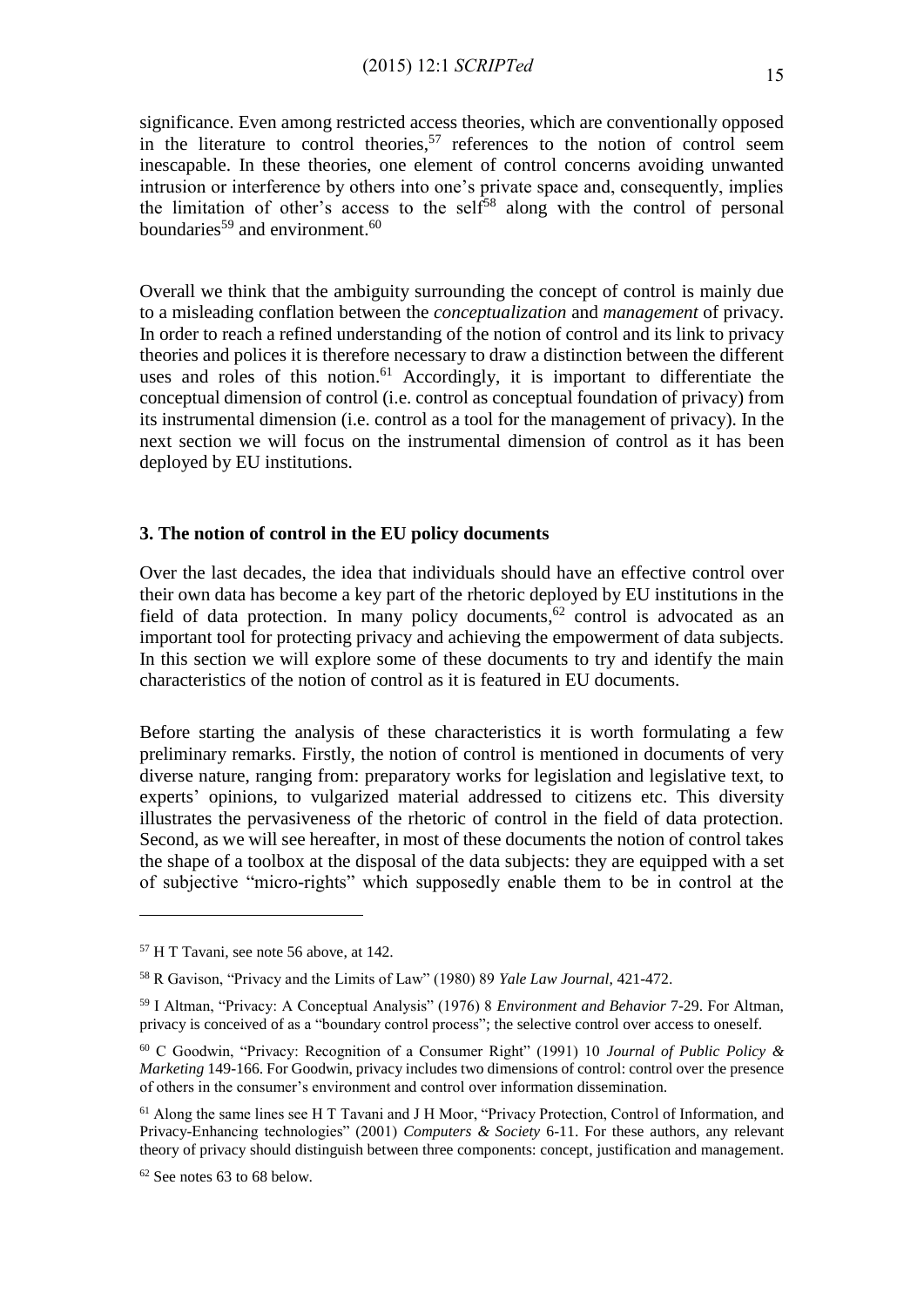significance. Even among restricted access theories, which are conventionally opposed in the literature to control theories, <sup>57</sup> references to the notion of control seem inescapable. In these theories, one element of control concerns avoiding unwanted intrusion or interference by others into one's private space and, consequently, implies the limitation of other's access to the self<sup>58</sup> along with the control of personal boundaries<sup>59</sup> and environment.<sup>60</sup>

Overall we think that the ambiguity surrounding the concept of control is mainly due to a misleading conflation between the *conceptualization* and *management* of privacy. In order to reach a refined understanding of the notion of control and its link to privacy theories and polices it is therefore necessary to draw a distinction between the different uses and roles of this notion.<sup>61</sup> Accordingly, it is important to differentiate the conceptual dimension of control (i.e. control as conceptual foundation of privacy) from its instrumental dimension (i.e. control as a tool for the management of privacy). In the next section we will focus on the instrumental dimension of control as it has been deployed by EU institutions.

## **3. The notion of control in the EU policy documents**

Over the last decades, the idea that individuals should have an effective control over their own data has become a key part of the rhetoric deployed by EU institutions in the field of data protection. In many policy documents,<sup>62</sup> control is advocated as an important tool for protecting privacy and achieving the empowerment of data subjects. In this section we will explore some of these documents to try and identify the main characteristics of the notion of control as it is featured in EU documents.

Before starting the analysis of these characteristics it is worth formulating a few preliminary remarks. Firstly, the notion of control is mentioned in documents of very diverse nature, ranging from: preparatory works for legislation and legislative text, to experts' opinions, to vulgarized material addressed to citizens etc. This diversity illustrates the pervasiveness of the rhetoric of control in the field of data protection. Second, as we will see hereafter, in most of these documents the notion of control takes the shape of a toolbox at the disposal of the data subjects: they are equipped with a set of subjective "micro-rights" which supposedly enable them to be in control at the

<sup>57</sup> H T Tavani, see note 56 above, at 142.

<sup>58</sup> R Gavison, "Privacy and the Limits of Law" (1980) 89 *Yale Law Journal*, 421-472.

<sup>59</sup> I Altman, "Privacy: A Conceptual Analysis" (1976) 8 *Environment and Behavior* 7-29. For Altman, privacy is conceived of as a "boundary control process"; the selective control over access to oneself.

<sup>60</sup> C Goodwin, "Privacy: Recognition of a Consumer Right" (1991) 10 *Journal of Public Policy & Marketing* 149-166. For Goodwin, privacy includes two dimensions of control: control over the presence of others in the consumer's environment and control over information dissemination.

<sup>61</sup> Along the same lines see H T Tavani and J H Moor, "Privacy Protection, Control of Information, and Privacy-Enhancing technologies" (2001) *Computers & Society* 6-11. For these authors, any relevant theory of privacy should distinguish between three components: concept, justification and management.

<sup>62</sup> See notes 63 to 68 below.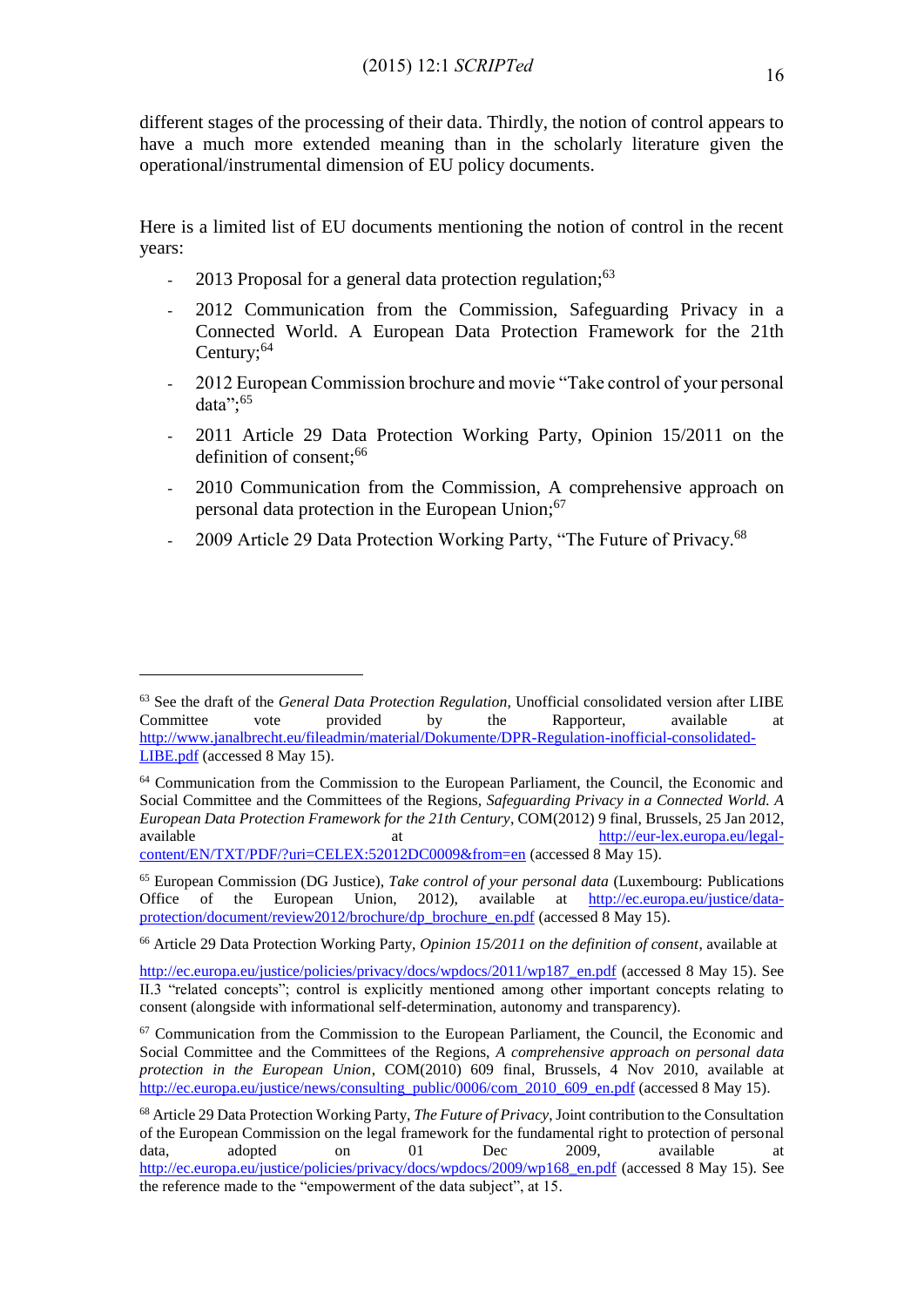different stages of the processing of their data. Thirdly, the notion of control appears to have a much more extended meaning than in the scholarly literature given the operational/instrumental dimension of EU policy documents.

Here is a limited list of EU documents mentioning the notion of control in the recent years:

- 2013 Proposal for a general data protection regulation;<sup>63</sup>

- 2012 Communication from the Commission, Safeguarding Privacy in a Connected World. A European Data Protection Framework for the 21th Century;<sup>64</sup>
- 2012 European Commission brochure and movie "Take control of your personal data"; 65
- 2011 Article 29 Data Protection Working Party, Opinion 15/2011 on the definition of consent;<sup>66</sup>
- 2010 Communication from the Commission, A comprehensive approach on personal data protection in the European Union;<sup>67</sup>
- 2009 Article 29 Data Protection Working Party, "The Future of Privacy.<sup>68</sup>

<sup>63</sup> See the draft of the *General Data Protection Regulation*, Unofficial consolidated version after LIBE Committee vote provided by the Rapporteur, available at [http://www.janalbrecht.eu/fileadmin/material/Dokumente/DPR-Regulation-inofficial-consolidated-](http://www.janalbrecht.eu/fileadmin/material/Dokumente/DPR-Regulation-inofficial-consolidated-LIBE.pdf)[LIBE.pdf](http://www.janalbrecht.eu/fileadmin/material/Dokumente/DPR-Regulation-inofficial-consolidated-LIBE.pdf) (accessed 8 May 15).

<sup>&</sup>lt;sup>64</sup> Communication from the Commission to the European Parliament, the Council, the Economic and Social Committee and the Committees of the Regions, *Safeguarding Privacy in a Connected World. A European Data Protection Framework for the 21th Century*, COM(2012) 9 final, Brussels, 25 Jan 2012, available at the [http://eur-lex.europa.eu/legal](http://eur-lex.europa.eu/legal-content/EN/TXT/PDF/?uri=CELEX:52012DC0009&from=en)[content/EN/TXT/PDF/?uri=CELEX:52012DC0009&from=en](http://eur-lex.europa.eu/legal-content/EN/TXT/PDF/?uri=CELEX:52012DC0009&from=en) (accessed 8 May 15).

<sup>&</sup>lt;sup>65</sup> European Commission (DG Justice), *Take control of your personal data* (Luxembourg: Publications Office of the European Union, 2012), available at http://ec.europa.eu/justice/data-Office of the European Union, 2012), available at [http://ec.europa.eu/justice/data](http://ec.europa.eu/justice/data-protection/document/review2012/brochure/dp_brochure_en.pdf)[protection/document/review2012/brochure/dp\\_brochure\\_en.pdf](http://ec.europa.eu/justice/data-protection/document/review2012/brochure/dp_brochure_en.pdf) (accessed 8 May 15).

<sup>66</sup> Article 29 Data Protection Working Party, *Opinion 15/2011 on the definition of consent*, available at

[http://ec.europa.eu/justice/policies/privacy/docs/wpdocs/2011/wp187\\_en.pdf](http://ec.europa.eu/justice/policies/privacy/docs/wpdocs/2011/wp187_en.pdf) (accessed 8 May 15). See II.3 "related concepts"; control is explicitly mentioned among other important concepts relating to consent (alongside with informational self-determination, autonomy and transparency).

 $67$  Communication from the Commission to the European Parliament, the Council, the Economic and Social Committee and the Committees of the Regions, *A comprehensive approach on personal data protection in the European Union*, COM(2010) 609 final, Brussels, 4 Nov 2010, available at [http://ec.europa.eu/justice/news/consulting\\_public/0006/com\\_2010\\_609\\_en.pdf](http://ec.europa.eu/justice/news/consulting_public/0006/com_2010_609_en.pdf) (accessed 8 May 15).

<sup>68</sup> Article 29 Data Protection Working Party, *The Future of Privacy*, Joint contribution to the Consultation of the European Commission on the legal framework for the fundamental right to protection of personal data, adopted on 01 Dec 2009, available at [http://ec.europa.eu/justice/policies/privacy/docs/wpdocs/2009/wp168\\_en.pdf](http://ec.europa.eu/justice/policies/privacy/docs/wpdocs/2009/wp168_en.pdf) (accessed 8 May 15). See the reference made to the "empowerment of the data subject", at 15.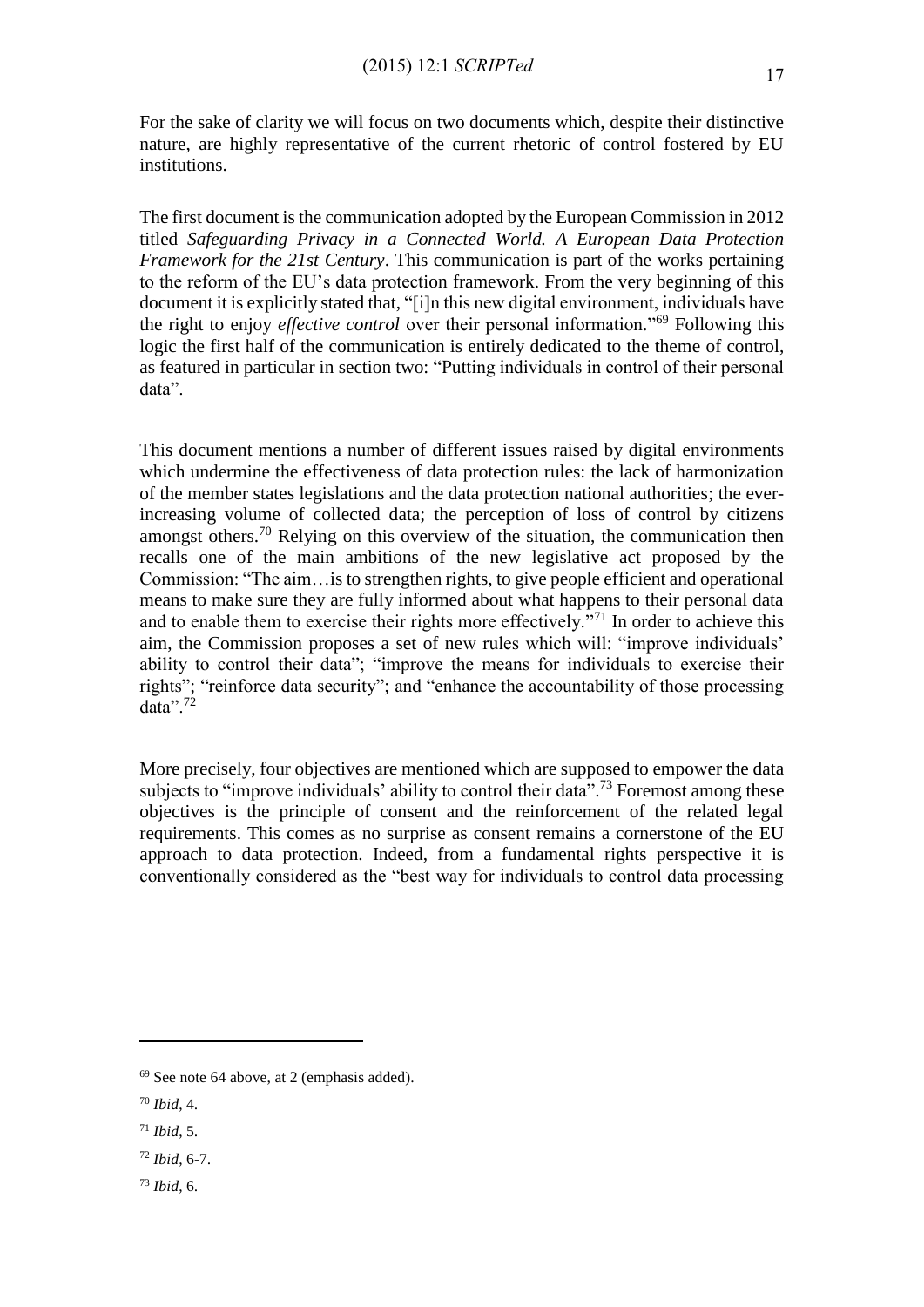For the sake of clarity we will focus on two documents which, despite their distinctive nature, are highly representative of the current rhetoric of control fostered by EU institutions.

The first document is the communication adopted by the European Commission in 2012 titled *Safeguarding Privacy in a Connected World. A European Data Protection Framework for the 21st Century*. This communication is part of the works pertaining to the reform of the EU's data protection framework. From the very beginning of this document it is explicitly stated that, "[i]n this new digital environment, individuals have the right to enjoy *effective control* over their personal information."<sup>69</sup> Following this logic the first half of the communication is entirely dedicated to the theme of control, as featured in particular in section two: "Putting individuals in control of their personal data".

This document mentions a number of different issues raised by digital environments which undermine the effectiveness of data protection rules: the lack of harmonization of the member states legislations and the data protection national authorities; the everincreasing volume of collected data; the perception of loss of control by citizens amongst others.<sup>70</sup> Relying on this overview of the situation, the communication then recalls one of the main ambitions of the new legislative act proposed by the Commission: "The aim…is to strengthen rights, to give people efficient and operational means to make sure they are fully informed about what happens to their personal data and to enable them to exercise their rights more effectively.<sup>"71</sup> In order to achieve this aim, the Commission proposes a set of new rules which will: "improve individuals' ability to control their data"; "improve the means for individuals to exercise their rights"; "reinforce data security"; and "enhance the accountability of those processing data".<sup>72</sup>

More precisely, four objectives are mentioned which are supposed to empower the data subjects to "improve individuals' ability to control their data".<sup>73</sup> Foremost among these objectives is the principle of consent and the reinforcement of the related legal requirements. This comes as no surprise as consent remains a cornerstone of the EU approach to data protection. Indeed, from a fundamental rights perspective it is conventionally considered as the "best way for individuals to control data processing

<sup>69</sup> See note 64 above, at 2 (emphasis added).

<sup>70</sup> *Ibid*, 4.

<sup>71</sup> *Ibid*, 5.

<sup>72</sup> *Ibid*, 6-7.

<sup>73</sup> *Ibid*, 6.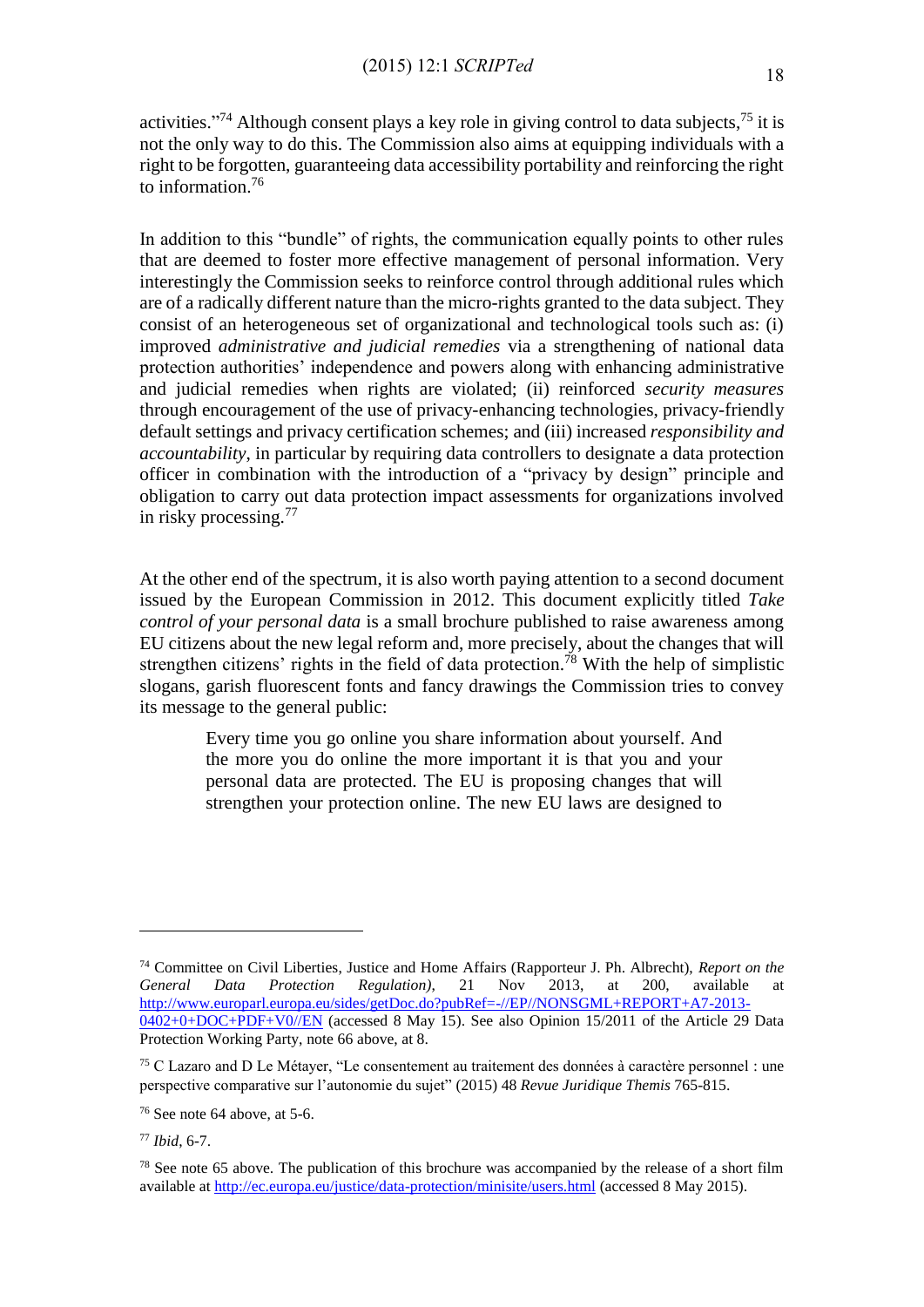activities."<sup>74</sup> Although consent plays a key role in giving control to data subjects, $^{75}$  it is not the only way to do this. The Commission also aims at equipping individuals with a right to be forgotten, guaranteeing data accessibility portability and reinforcing the right to information.<sup>76</sup>

In addition to this "bundle" of rights, the communication equally points to other rules that are deemed to foster more effective management of personal information. Very interestingly the Commission seeks to reinforce control through additional rules which are of a radically different nature than the micro-rights granted to the data subject. They consist of an heterogeneous set of organizational and technological tools such as: (i) improved *administrative and judicial remedies* via a strengthening of national data protection authorities' independence and powers along with enhancing administrative and judicial remedies when rights are violated; (ii) reinforced *security measures* through encouragement of the use of privacy-enhancing technologies, privacy-friendly default settings and privacy certification schemes; and (iii) increased *responsibility and accountability*, in particular by requiring data controllers to designate a data protection officer in combination with the introduction of a "privacy by design" principle and obligation to carry out data protection impact assessments for organizations involved in risky processing.<sup>77</sup>

At the other end of the spectrum, it is also worth paying attention to a second document issued by the European Commission in 2012. This document explicitly titled *Take control of your personal data* is a small brochure published to raise awareness among EU citizens about the new legal reform and, more precisely, about the changes that will strengthen citizens' rights in the field of data protection.<sup>78</sup> With the help of simplistic slogans, garish fluorescent fonts and fancy drawings the Commission tries to convey its message to the general public:

> Every time you go online you share information about yourself. And the more you do online the more important it is that you and your personal data are protected. The EU is proposing changes that will strengthen your protection online. The new EU laws are designed to

<sup>74</sup> Committee on Civil Liberties, Justice and Home Affairs (Rapporteur J. Ph. Albrecht), *Report on the General Data Protection Regulation)*, 21 Nov 2013, at 200, available at [http://www.europarl.europa.eu/sides/getDoc.do?pubRef=-//EP//NONSGML+REPORT+A7-2013-](http://www.europarl.europa.eu/sides/getDoc.do?pubRef=-//EP//NONSGML+REPORT+A7-2013-0402+0+DOC+PDF+V0//EN) [0402+0+DOC+PDF+V0//EN](http://www.europarl.europa.eu/sides/getDoc.do?pubRef=-//EP//NONSGML+REPORT+A7-2013-0402+0+DOC+PDF+V0//EN) (accessed 8 May 15). See also Opinion 15/2011 of the Article 29 Data Protection Working Party, note 66 above, at 8.

<sup>75</sup> C Lazaro and D Le Métayer, "Le consentement au traitement des données à caractère personnel : une perspective comparative sur l'autonomie du sujet" (2015) 48 *Revue Juridique Themis* 765-815.

 $76$  See note 64 above, at 5-6.

<sup>77</sup> *Ibid*, 6-7.

<sup>&</sup>lt;sup>78</sup> See note 65 above. The publication of this brochure was accompanied by the release of a short film available at<http://ec.europa.eu/justice/data-protection/minisite/users.html> (accessed 8 May 2015).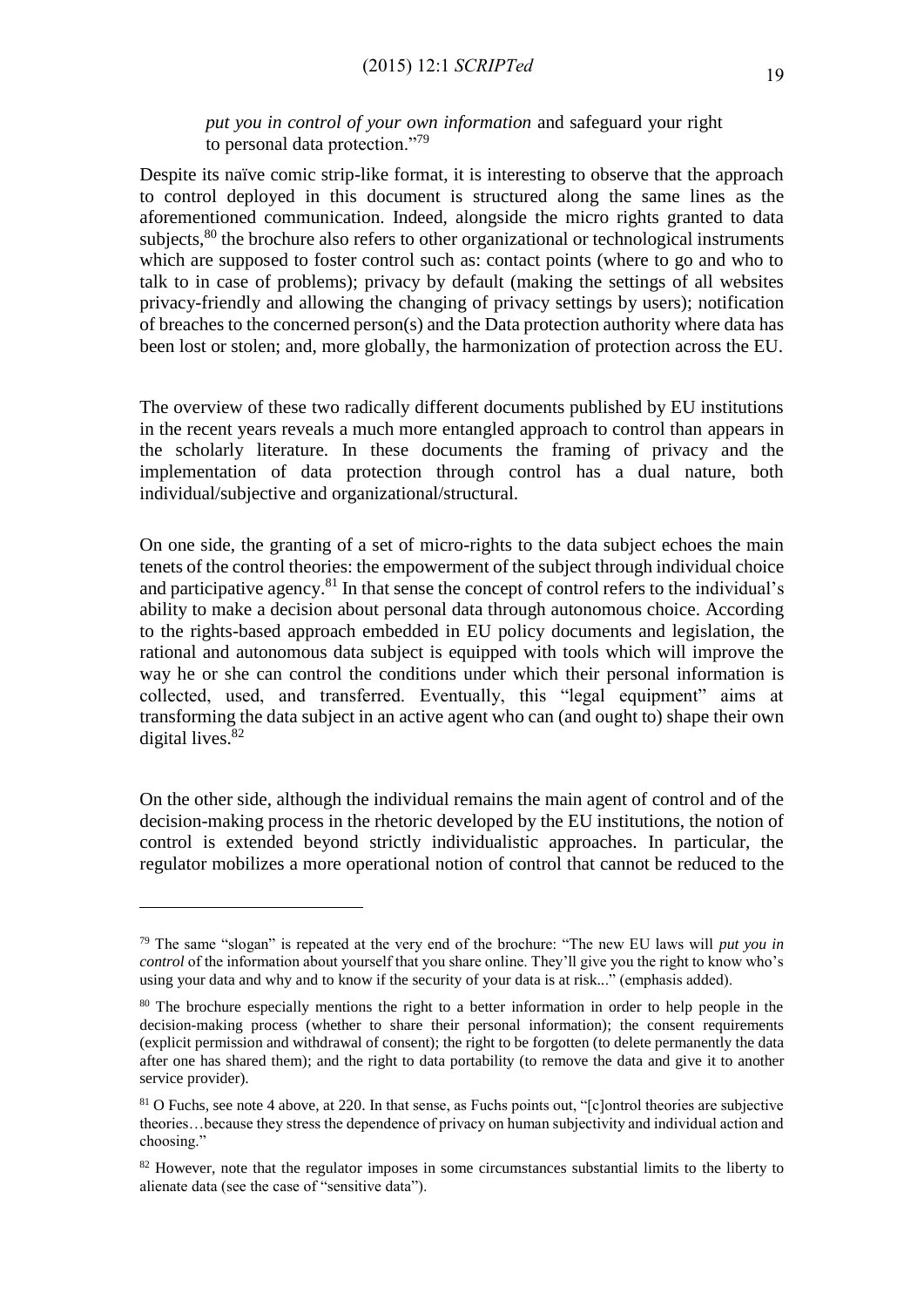## *put you in control of your own information* and safeguard your right to personal data protection."<sup>79</sup>

Despite its naïve comic strip-like format, it is interesting to observe that the approach to control deployed in this document is structured along the same lines as the aforementioned communication. Indeed, alongside the micro rights granted to data subjects,<sup>80</sup> the brochure also refers to other organizational or technological instruments which are supposed to foster control such as: contact points (where to go and who to talk to in case of problems); privacy by default (making the settings of all websites privacy-friendly and allowing the changing of privacy settings by users); notification of breaches to the concerned person(s) and the Data protection authority where data has been lost or stolen; and, more globally, the harmonization of protection across the EU.

The overview of these two radically different documents published by EU institutions in the recent years reveals a much more entangled approach to control than appears in the scholarly literature. In these documents the framing of privacy and the implementation of data protection through control has a dual nature, both individual/subjective and organizational/structural.

On one side, the granting of a set of micro-rights to the data subject echoes the main tenets of the control theories: the empowerment of the subject through individual choice and participative agency.<sup>81</sup> In that sense the concept of control refers to the individual's ability to make a decision about personal data through autonomous choice. According to the rights-based approach embedded in EU policy documents and legislation, the rational and autonomous data subject is equipped with tools which will improve the way he or she can control the conditions under which their personal information is collected, used, and transferred. Eventually, this "legal equipment" aims at transforming the data subject in an active agent who can (and ought to) shape their own digital lives.<sup>82</sup>

On the other side, although the individual remains the main agent of control and of the decision-making process in the rhetoric developed by the EU institutions, the notion of control is extended beyond strictly individualistic approaches. In particular, the regulator mobilizes a more operational notion of control that cannot be reduced to the

<sup>79</sup> The same "slogan" is repeated at the very end of the brochure: "The new EU laws will *put you in control* of the information about yourself that you share online. They'll give you the right to know who's using your data and why and to know if the security of your data is at risk..." (emphasis added).

<sup>&</sup>lt;sup>80</sup> The brochure especially mentions the right to a better information in order to help people in the decision-making process (whether to share their personal information); the consent requirements (explicit permission and withdrawal of consent); the right to be forgotten (to delete permanently the data after one has shared them); and the right to data portability (to remove the data and give it to another service provider).

<sup>&</sup>lt;sup>81</sup> O Fuchs, see note 4 above, at 220. In that sense, as Fuchs points out, "[c]ontrol theories are subjective theories…because they stress the dependence of privacy on human subjectivity and individual action and choosing."

 $82$  However, note that the regulator imposes in some circumstances substantial limits to the liberty to alienate data (see the case of "sensitive data").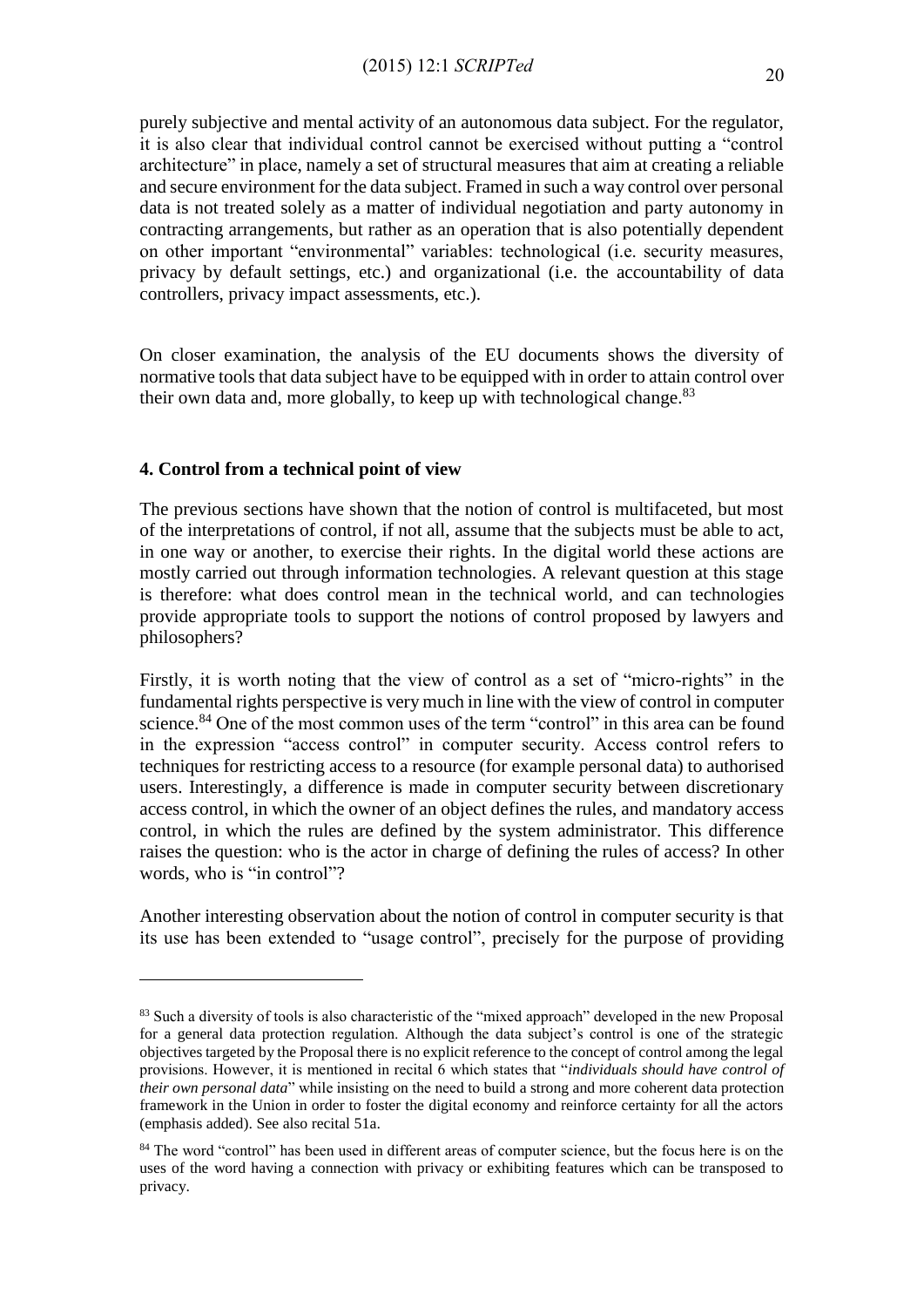purely subjective and mental activity of an autonomous data subject. For the regulator, it is also clear that individual control cannot be exercised without putting a "control architecture" in place, namely a set of structural measures that aim at creating a reliable and secure environment for the data subject. Framed in such a way control over personal data is not treated solely as a matter of individual negotiation and party autonomy in contracting arrangements, but rather as an operation that is also potentially dependent on other important "environmental" variables: technological (i.e. security measures, privacy by default settings, etc.) and organizational (i.e. the accountability of data controllers, privacy impact assessments, etc.).

On closer examination, the analysis of the EU documents shows the diversity of normative tools that data subject have to be equipped with in order to attain control over their own data and, more globally, to keep up with technological change.<sup>83</sup>

# **4. Control from a technical point of view**

1

The previous sections have shown that the notion of control is multifaceted, but most of the interpretations of control, if not all, assume that the subjects must be able to act, in one way or another, to exercise their rights. In the digital world these actions are mostly carried out through information technologies. A relevant question at this stage is therefore: what does control mean in the technical world, and can technologies provide appropriate tools to support the notions of control proposed by lawyers and philosophers?

Firstly, it is worth noting that the view of control as a set of "micro-rights" in the fundamental rights perspective is very much in line with the view of control in computer science.<sup>84</sup> One of the most common uses of the term "control" in this area can be found in the expression "access control" in computer security. Access control refers to techniques for restricting access to a resource (for example personal data) to authorised users. Interestingly, a difference is made in computer security between discretionary access control, in which the owner of an object defines the rules, and mandatory access control, in which the rules are defined by the system administrator. This difference raises the question: who is the actor in charge of defining the rules of access? In other words, who is "in control"?

Another interesting observation about the notion of control in computer security is that its use has been extended to "usage control", precisely for the purpose of providing

<sup>&</sup>lt;sup>83</sup> Such a diversity of tools is also characteristic of the "mixed approach" developed in the new Proposal for a general data protection regulation. Although the data subject's control is one of the strategic objectives targeted by the Proposal there is no explicit reference to the concept of control among the legal provisions. However, it is mentioned in recital 6 which states that "*individuals should have control of their own personal data*" while insisting on the need to build a strong and more coherent data protection framework in the Union in order to foster the digital economy and reinforce certainty for all the actors (emphasis added). See also recital 51a.

<sup>&</sup>lt;sup>84</sup> The word "control" has been used in different areas of computer science, but the focus here is on the uses of the word having a connection with privacy or exhibiting features which can be transposed to privacy.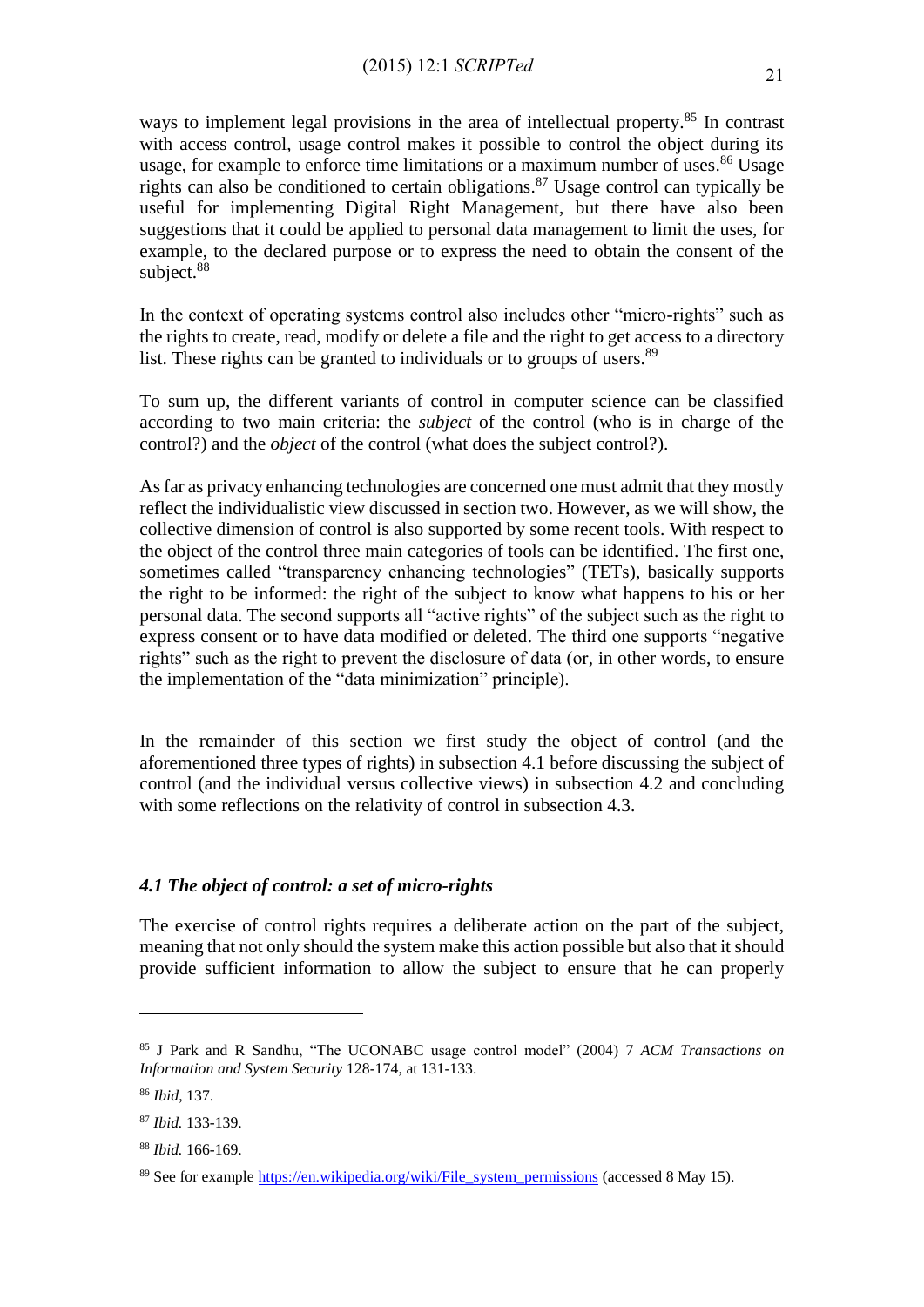ways to implement legal provisions in the area of intellectual property.<sup>85</sup> In contrast with access control, usage control makes it possible to control the object during its usage, for example to enforce time limitations or a maximum number of uses.<sup>86</sup> Usage rights can also be conditioned to certain obligations. <sup>87</sup> Usage control can typically be useful for implementing Digital Right Management, but there have also been suggestions that it could be applied to personal data management to limit the uses, for example, to the declared purpose or to express the need to obtain the consent of the subject.<sup>88</sup>

In the context of operating systems control also includes other "micro-rights" such as the rights to create, read, modify or delete a file and the right to get access to a directory list. These rights can be granted to individuals or to groups of users.<sup>89</sup>

To sum up, the different variants of control in computer science can be classified according to two main criteria: the *subject* of the control (who is in charge of the control?) and the *object* of the control (what does the subject control?).

As far as privacy enhancing technologies are concerned one must admit that they mostly reflect the individualistic view discussed in section two. However, as we will show, the collective dimension of control is also supported by some recent tools. With respect to the object of the control three main categories of tools can be identified. The first one, sometimes called "transparency enhancing technologies" (TETs), basically supports the right to be informed: the right of the subject to know what happens to his or her personal data. The second supports all "active rights" of the subject such as the right to express consent or to have data modified or deleted. The third one supports "negative rights" such as the right to prevent the disclosure of data (or, in other words, to ensure the implementation of the "data minimization" principle).

In the remainder of this section we first study the object of control (and the aforementioned three types of rights) in subsection 4.1 before discussing the subject of control (and the individual versus collective views) in subsection 4.2 and concluding with some reflections on the relativity of control in subsection 4.3.

# *4.1 The object of control: a set of micro-rights*

The exercise of control rights requires a deliberate action on the part of the subject, meaning that not only should the system make this action possible but also that it should provide sufficient information to allow the subject to ensure that he can properly

<sup>85</sup> J Park and R Sandhu, "The UCONABC usage control model" (2004) 7 *ACM Transactions on Information and System Security* 128-174, at 131-133.

<sup>86</sup> *Ibid*, 137.

<sup>87</sup> *Ibid.* 133-139.

<sup>88</sup> *Ibid.* 166-169.

<sup>&</sup>lt;sup>89</sup> See for example [https://en.wikipedia.org/wiki/File\\_system\\_permissions](https://en.wikipedia.org/wiki/File_system_permissions) (accessed 8 May 15).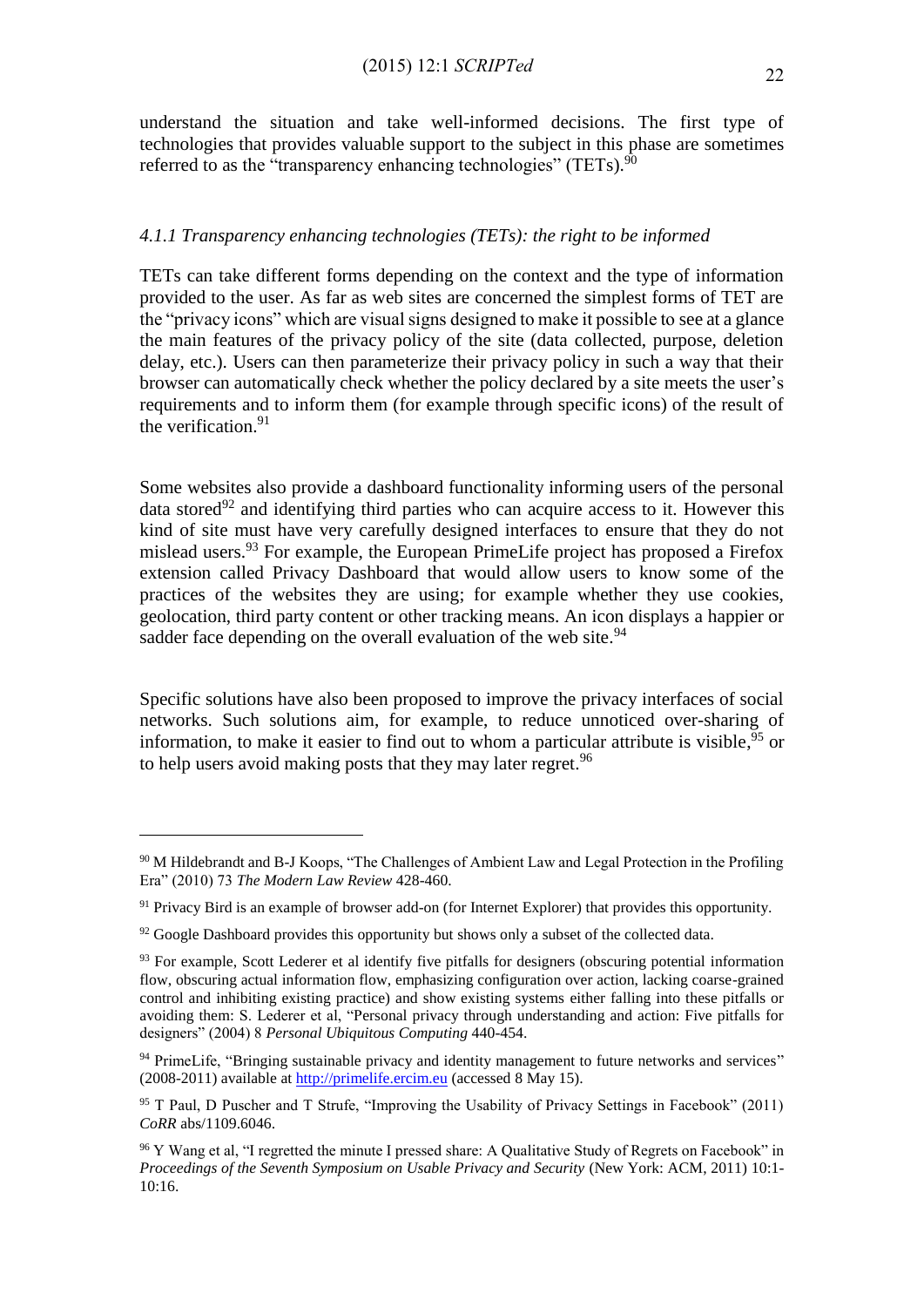understand the situation and take well-informed decisions. The first type of technologies that provides valuable support to the subject in this phase are sometimes referred to as the "transparency enhancing technologies" (TETs).  $90$ 

## *4.1.1 Transparency enhancing technologies (TETs): the right to be informed*

TETs can take different forms depending on the context and the type of information provided to the user. As far as web sites are concerned the simplest forms of TET are the "privacy icons" which are visual signs designed to make it possible to see at a glance the main features of the privacy policy of the site (data collected, purpose, deletion delay, etc.). Users can then parameterize their privacy policy in such a way that their browser can automatically check whether the policy declared by a site meets the user's requirements and to inform them (for example through specific icons) of the result of the verification. 91

Some websites also provide a dashboard functionality informing users of the personal data stored<sup>92</sup> and identifying third parties who can acquire access to it. However this kind of site must have very carefully designed interfaces to ensure that they do not mislead users.<sup>93</sup> For example, the European PrimeLife project has proposed a Firefox extension called Privacy Dashboard that would allow users to know some of the practices of the websites they are using; for example whether they use cookies, geolocation, third party content or other tracking means. An icon displays a happier or sadder face depending on the overall evaluation of the web site.<sup>94</sup>

Specific solutions have also been proposed to improve the privacy interfaces of social networks. Such solutions aim, for example, to reduce unnoticed over-sharing of information, to make it easier to find out to whom a particular attribute is visible, <sup>95</sup> or to help users avoid making posts that they may later regret.<sup>96</sup>

<sup>&</sup>lt;sup>90</sup> M Hildebrandt and B-J Koops, "The Challenges of Ambient Law and Legal Protection in the Profiling Era" (2010) 73 *The Modern Law Review* 428-460.

<sup>&</sup>lt;sup>91</sup> Privacy Bird is an example of browser add-on (for Internet Explorer) that provides this opportunity.

 $92$  Google Dashboard provides this opportunity but shows only a subset of the collected data.

<sup>&</sup>lt;sup>93</sup> For example, Scott Lederer et al identify five pitfalls for designers (obscuring potential information flow, obscuring actual information flow, emphasizing configuration over action, lacking coarse-grained control and inhibiting existing practice) and show existing systems either falling into these pitfalls or avoiding them: S. Lederer et al, "Personal privacy through understanding and action: Five pitfalls for designers" (2004) 8 *Personal Ubiquitous Computing* 440-454.

<sup>&</sup>lt;sup>94</sup> PrimeLife, "Bringing sustainable privacy and identity management to future networks and services" (2008-2011) available at [http://primelife.ercim.eu](http://primelife.ercim.eu/) (accessed 8 May 15).

<sup>95</sup> T Paul, D Puscher and T Strufe, "Improving the Usability of Privacy Settings in Facebook" (2011) *CoRR* abs/1109.6046.

<sup>96</sup> Y Wang et al, "I regretted the minute I pressed share: A Qualitative Study of Regrets on Facebook" in *Proceedings of the Seventh Symposium on Usable Privacy and Security* (New York: ACM, 2011) 10:1- 10:16.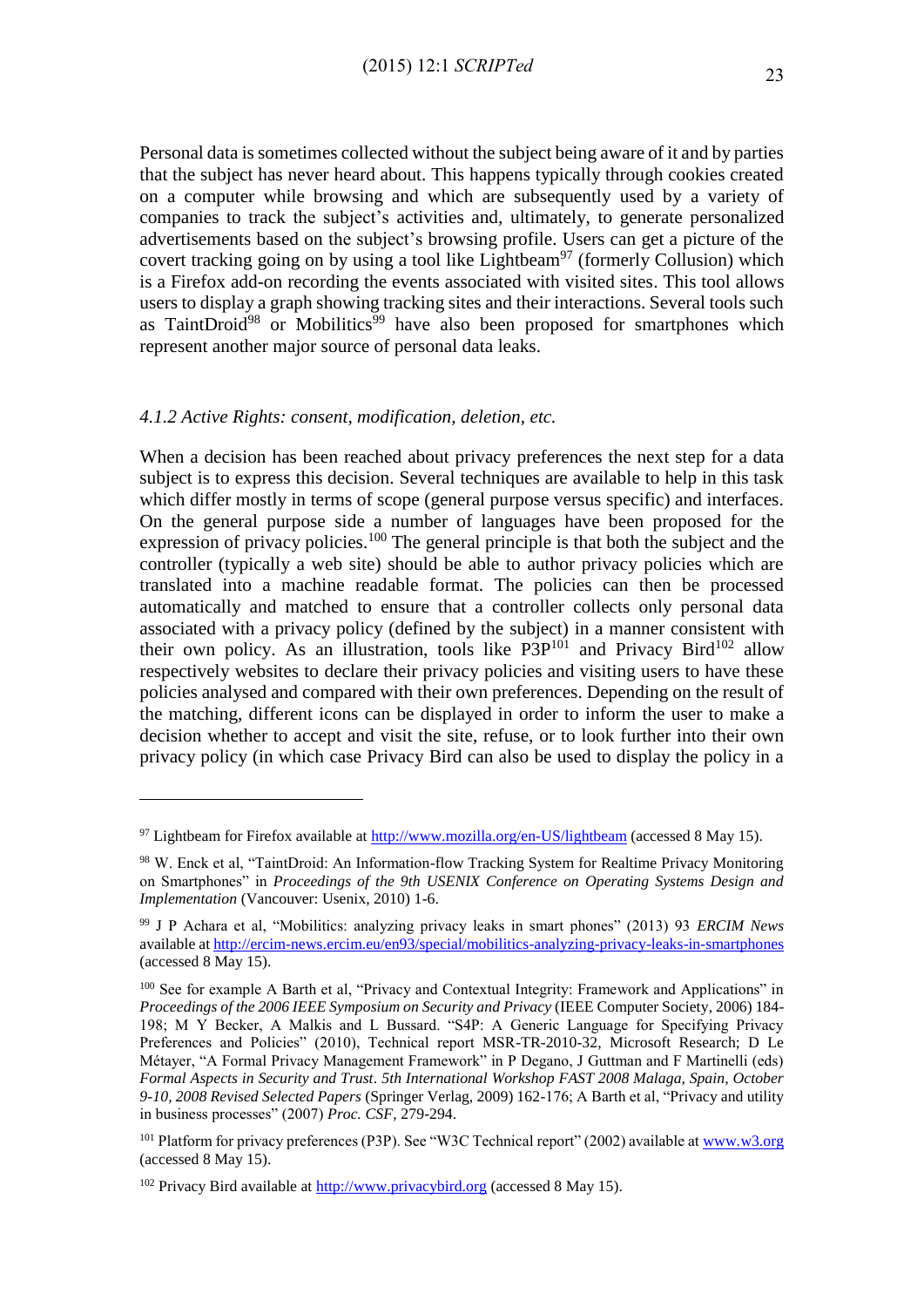Personal data is sometimes collected without the subject being aware of it and by parties that the subject has never heard about. This happens typically through cookies created on a computer while browsing and which are subsequently used by a variety of companies to track the subject's activities and, ultimately, to generate personalized advertisements based on the subject's browsing profile. Users can get a picture of the covert tracking going on by using a tool like Lightbeam<sup>97</sup> (formerly Collusion) which is a Firefox add-on recording the events associated with visited sites. This tool allows users to display a graph showing tracking sites and their interactions. Several tools such as TaintDroid<sup>98</sup> or Mobilitics<sup>99</sup> have also been proposed for smartphones which represent another major source of personal data leaks.

### *4.1.2 Active Rights: consent, modification, deletion, etc.*

<u>.</u>

When a decision has been reached about privacy preferences the next step for a data subject is to express this decision. Several techniques are available to help in this task which differ mostly in terms of scope (general purpose versus specific) and interfaces. On the general purpose side a number of languages have been proposed for the expression of privacy policies.<sup>100</sup> The general principle is that both the subject and the controller (typically a web site) should be able to author privacy policies which are translated into a machine readable format. The policies can then be processed automatically and matched to ensure that a controller collects only personal data associated with a privacy policy (defined by the subject) in a manner consistent with their own policy. As an illustration, tools like  $P3P^{101}$  and Privacy Bird<sup>102</sup> allow respectively websites to declare their privacy policies and visiting users to have these policies analysed and compared with their own preferences. Depending on the result of the matching, different icons can be displayed in order to inform the user to make a decision whether to accept and visit the site, refuse, or to look further into their own privacy policy (in which case Privacy Bird can also be used to display the policy in a

<sup>97</sup> Lightbeam for Firefox available at<http://www.mozilla.org/en-US/lightbeam> (accessed 8 May 15).

<sup>98</sup> W. Enck et al, "TaintDroid: An Information-flow Tracking System for Realtime Privacy Monitoring on Smartphones" in *Proceedings of the 9th USENIX Conference on Operating Systems Design and Implementation* (Vancouver: Usenix, 2010) 1-6.

<sup>99</sup> J P Achara et al, "Mobilitics: analyzing privacy leaks in smart phones" (2013) 93 *ERCIM News* available a[t http://ercim-news.ercim.eu/en93/special/mobilitics-analyzing-privacy-leaks-in-smartphones](http://ercim-news.ercim.eu/en93/special/mobilitics-analyzing-privacy-leaks-in-smartphones) (accessed 8 May 15).

<sup>&</sup>lt;sup>100</sup> See for example A Barth et al, "Privacy and Contextual Integrity: Framework and Applications" in *Proceedings of the 2006 IEEE Symposium on Security and Privacy* (IEEE Computer Society, 2006) 184- 198; M Y Becker, A Malkis and L Bussard. "S4P: A Generic Language for Specifying Privacy Preferences and Policies" (2010), Technical report MSR-TR-2010-32, Microsoft Research; D Le Métayer, "A Formal Privacy Management Framework" in P Degano, J Guttman and F Martinelli (eds) *Formal Aspects in Security and Trust*. *5th International Workshop FAST 2008 Malaga, Spain, October 9-10, 2008 Revised Selected Papers* (Springer Verlag, 2009) 162-176; A Barth et al, "Privacy and utility in business processes" (2007) *Proc. CSF*, 279-294.

<sup>&</sup>lt;sup>101</sup> Platform for privacy preferences (P3P). See "W3C Technical report" (2002) available at [www.w3.org](http://www.w3.org/) (accessed 8 May 15).

 $102$  Privacy Bird available at  $\frac{http://www.privacybird.org}{http://www.privacybird.org}$  (accessed 8 May 15).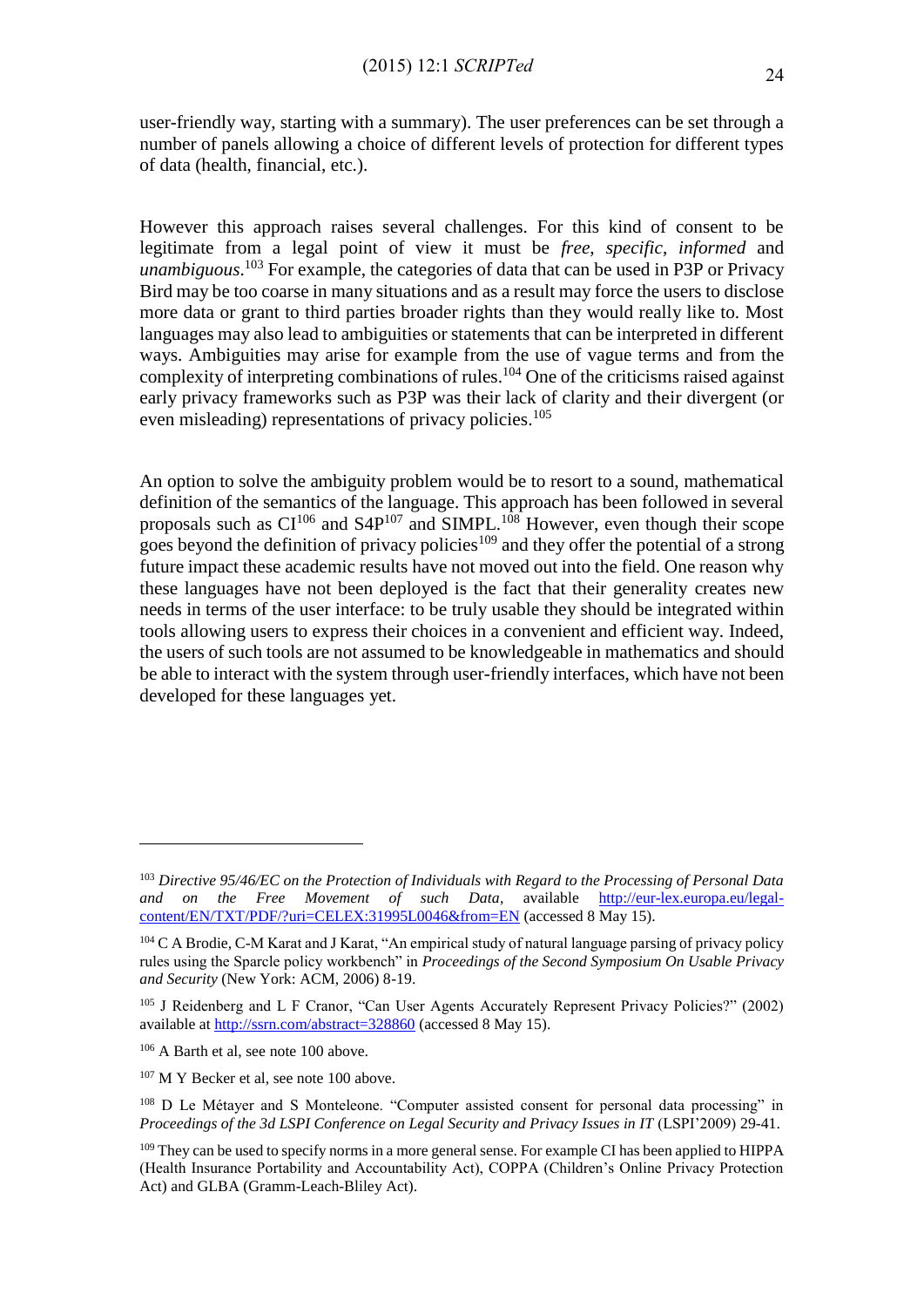user-friendly way, starting with a summary). The user preferences can be set through a number of panels allowing a choice of different levels of protection for different types of data (health, financial, etc.).

However this approach raises several challenges. For this kind of consent to be legitimate from a legal point of view it must be *free*, *specific*, *informed* and *unambiguous*. <sup>103</sup> For example, the categories of data that can be used in P3P or Privacy Bird may be too coarse in many situations and as a result may force the users to disclose more data or grant to third parties broader rights than they would really like to. Most languages may also lead to ambiguities or statements that can be interpreted in different ways. Ambiguities may arise for example from the use of vague terms and from the complexity of interpreting combinations of rules. <sup>104</sup> One of the criticisms raised against early privacy frameworks such as P3P was their lack of clarity and their divergent (or even misleading) representations of privacy policies.<sup>105</sup>

An option to solve the ambiguity problem would be to resort to a sound, mathematical definition of the semantics of the language. This approach has been followed in several proposals such as  $CI^{106}$  and  $S4P^{107}$  and  $SIMPL^{108}$  However, even though their scope goes beyond the definition of privacy policies<sup>109</sup> and they offer the potential of a strong future impact these academic results have not moved out into the field. One reason why these languages have not been deployed is the fact that their generality creates new needs in terms of the user interface: to be truly usable they should be integrated within tools allowing users to express their choices in a convenient and efficient way. Indeed, the users of such tools are not assumed to be knowledgeable in mathematics and should be able to interact with the system through user-friendly interfaces, which have not been developed for these languages yet.

<sup>103</sup> *Directive 95/46/EC on the Protection of Individuals with Regard to the Processing of Personal Data and on the Free Movement of such Data*, available [http://eur-lex.europa.eu/legal](http://eur-lex.europa.eu/legal-content/EN/TXT/PDF/?uri=CELEX:31995L0046&from=EN)[content/EN/TXT/PDF/?uri=CELEX:31995L0046&from=EN](http://eur-lex.europa.eu/legal-content/EN/TXT/PDF/?uri=CELEX:31995L0046&from=EN) (accessed 8 May 15).

<sup>104</sup> C A Brodie, C-M Karat and J Karat, "An empirical study of natural language parsing of privacy policy rules using the Sparcle policy workbench" in *Proceedings of the Second Symposium On Usable Privacy and Security* (New York: ACM, 2006) 8-19.

<sup>105</sup> J Reidenberg and L F Cranor, "Can User Agents Accurately Represent Privacy Policies?" (2002) available at<http://ssrn.com/abstract=328860> (accessed 8 May 15).

<sup>106</sup> A Barth et al, see note 100 above.

<sup>&</sup>lt;sup>107</sup> M Y Becker et al, see note 100 above.

<sup>&</sup>lt;sup>108</sup> D Le Métayer and S Monteleone. "Computer assisted consent for personal data processing" in *Proceedings of the 3d LSPI Conference on Legal Security and Privacy Issues in IT* (LSPI'2009) 29-41.

<sup>&</sup>lt;sup>109</sup> They can be used to specify norms in a more general sense. For example CI has been applied to HIPPA (Health Insurance Portability and Accountability Act), COPPA (Children's Online Privacy Protection Act) and GLBA (Gramm-Leach-Bliley Act).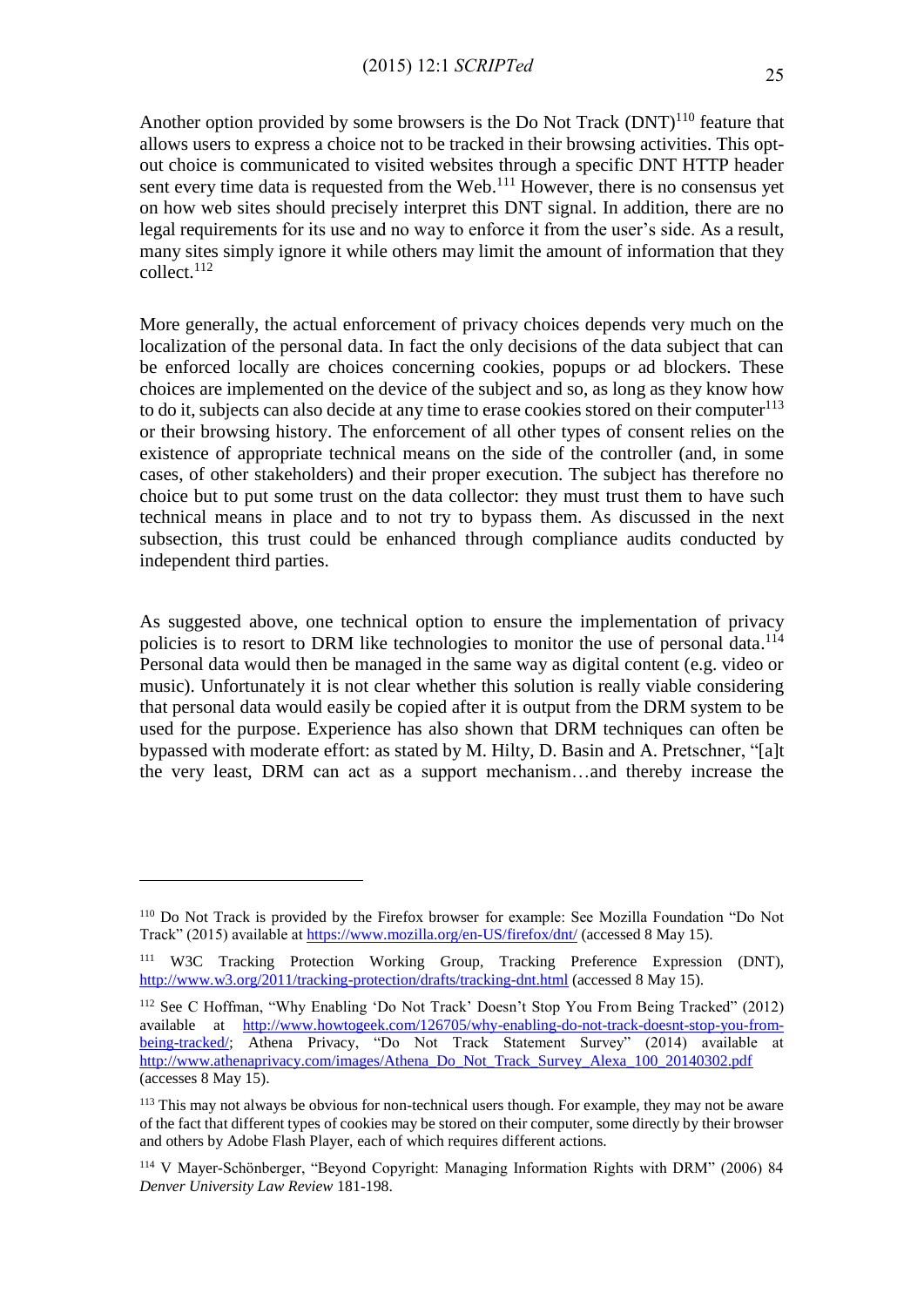Another option provided by some browsers is the Do Not Track  $(DNT)^{110}$  feature that allows users to express a choice not to be tracked in their browsing activities. This optout choice is communicated to visited websites through a specific DNT HTTP header sent every time data is requested from the Web. $<sup>111</sup>$  However, there is no consensus yet</sup> on how web sites should precisely interpret this DNT signal. In addition, there are no legal requirements for its use and no way to enforce it from the user's side. As a result, many sites simply ignore it while others may limit the amount of information that they collect. 112

More generally, the actual enforcement of privacy choices depends very much on the localization of the personal data. In fact the only decisions of the data subject that can be enforced locally are choices concerning cookies, popups or ad blockers. These choices are implemented on the device of the subject and so, as long as they know how to do it, subjects can also decide at any time to erase cookies stored on their computer $113$ or their browsing history. The enforcement of all other types of consent relies on the existence of appropriate technical means on the side of the controller (and, in some cases, of other stakeholders) and their proper execution. The subject has therefore no choice but to put some trust on the data collector: they must trust them to have such technical means in place and to not try to bypass them. As discussed in the next subsection, this trust could be enhanced through compliance audits conducted by independent third parties.

As suggested above, one technical option to ensure the implementation of privacy policies is to resort to DRM like technologies to monitor the use of personal data.<sup>114</sup> Personal data would then be managed in the same way as digital content (e.g. video or music). Unfortunately it is not clear whether this solution is really viable considering that personal data would easily be copied after it is output from the DRM system to be used for the purpose. Experience has also shown that DRM techniques can often be bypassed with moderate effort: as stated by M. Hilty, D. Basin and A. Pretschner, "[a]t the very least, DRM can act as a support mechanism…and thereby increase the

<sup>110</sup> Do Not Track is provided by the Firefox browser for example: See Mozilla Foundation "Do Not Track" (2015) available a[t https://www.mozilla.org/en-US/firefox/dnt/](https://www.mozilla.org/en-US/firefox/dnt/) (accessed 8 May 15).

<sup>111</sup> W3C Tracking Protection Working Group, Tracking Preference Expression (DNT), <http://www.w3.org/2011/tracking-protection/drafts/tracking-dnt.html> (accessed 8 May 15).

<sup>112</sup> See C Hoffman, "Why Enabling 'Do Not Track' Doesn't Stop You From Being Tracked" (2012) available at [http://www.howtogeek.com/126705/why-enabling-do-not-track-doesnt-stop-you-from](http://www.howtogeek.com/126705/why-enabling-do-not-track-doesnt-stop-you-from-being-tracked/)[being-tracked/;](http://www.howtogeek.com/126705/why-enabling-do-not-track-doesnt-stop-you-from-being-tracked/) Athena Privacy, "Do Not Track Statement Survey" (2014) available at [http://www.athenaprivacy.com/images/Athena\\_Do\\_Not\\_Track\\_Survey\\_Alexa\\_100\\_20140302.pdf](http://www.athenaprivacy.com/images/Athena_Do_Not_Track_Survey_Alexa_100_20140302.pdf) (accesses 8 May 15).

<sup>&</sup>lt;sup>113</sup> This may not always be obvious for non-technical users though. For example, they may not be aware of the fact that different types of cookies may be stored on their computer, some directly by their browser and others by Adobe Flash Player, each of which requires different actions.

<sup>114</sup> V Mayer-Schönberger, "Beyond Copyright: Managing Information Rights with DRM" (2006) 84 *Denver University Law Review* 181-198.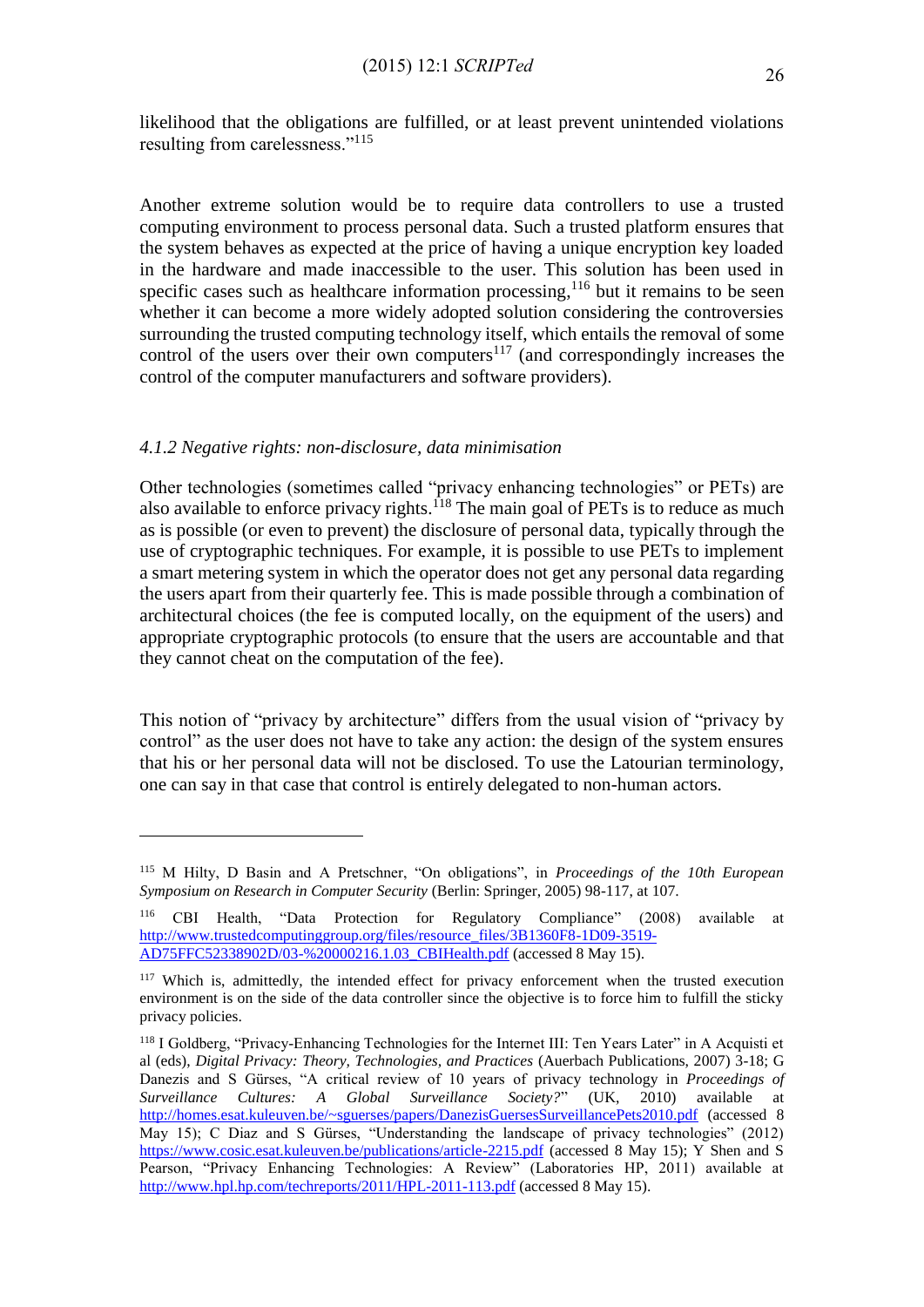likelihood that the obligations are fulfilled, or at least prevent unintended violations resulting from carelessness."<sup>115</sup>

Another extreme solution would be to require data controllers to use a trusted computing environment to process personal data. Such a trusted platform ensures that the system behaves as expected at the price of having a unique encryption key loaded in the hardware and made inaccessible to the user. This solution has been used in specific cases such as healthcare information processing,  $116$  but it remains to be seen whether it can become a more widely adopted solution considering the controversies surrounding the trusted computing technology itself, which entails the removal of some control of the users over their own computers $117$  (and correspondingly increases the control of the computer manufacturers and software providers).

# *4.1.2 Negative rights: non-disclosure, data minimisation*

1

Other technologies (sometimes called "privacy enhancing technologies" or PETs) are also available to enforce privacy rights.<sup>118</sup> The main goal of PETs is to reduce as much as is possible (or even to prevent) the disclosure of personal data, typically through the use of cryptographic techniques. For example, it is possible to use PETs to implement a smart metering system in which the operator does not get any personal data regarding the users apart from their quarterly fee. This is made possible through a combination of architectural choices (the fee is computed locally, on the equipment of the users) and appropriate cryptographic protocols (to ensure that the users are accountable and that they cannot cheat on the computation of the fee).

This notion of "privacy by architecture" differs from the usual vision of "privacy by control" as the user does not have to take any action: the design of the system ensures that his or her personal data will not be disclosed. To use the Latourian terminology, one can say in that case that control is entirely delegated to non-human actors.

<sup>115</sup> M Hilty, D Basin and A Pretschner, "On obligations", in *Proceedings of the 10th European Symposium on Research in Computer Security* (Berlin: Springer, 2005) 98-117, at 107.

<sup>116</sup> CBI Health, "Data Protection for Regulatory Compliance" (2008) available at [http://www.trustedcomputinggroup.org/files/resource\\_files/3B1360F8-1D09-3519-](http://www.trustedcomputinggroup.org/files/resource_files/3B1360F8-1D09-3519-AD75FFC52338902D/03-%20000216.1.03_CBIHealth.pdf) AD75FFC52338902D/03-%20000216.1.03 CBIHealth.pdf (accessed 8 May 15).

<sup>&</sup>lt;sup>117</sup> Which is, admittedly, the intended effect for privacy enforcement when the trusted execution environment is on the side of the data controller since the objective is to force him to fulfill the sticky privacy policies.

<sup>118</sup> I Goldberg, "Privacy-Enhancing Technologies for the Internet III: Ten Years Later" in A Acquisti et al (eds), *Digital Privacy: Theory, Technologies, and Practices* (Auerbach Publications, 2007) 3-18; G Danezis and S Gürses, "A critical review of 10 years of privacy technology in *Proceedings of Surveillance Cultures: A Global Surveillance Society?*" (UK, 2010) available at <http://homes.esat.kuleuven.be/~sguerses/papers/DanezisGuersesSurveillancePets2010.pdf> (accessed 8 May 15); C Diaz and S Gürses, "Understanding the landscape of privacy technologies" (2012) <https://www.cosic.esat.kuleuven.be/publications/article-2215.pdf> (accessed 8 May 15); Y Shen and S Pearson, "Privacy Enhancing Technologies: A Review" (Laboratories HP, 2011) available at <http://www.hpl.hp.com/techreports/2011/HPL-2011-113.pdf> (accessed 8 May 15).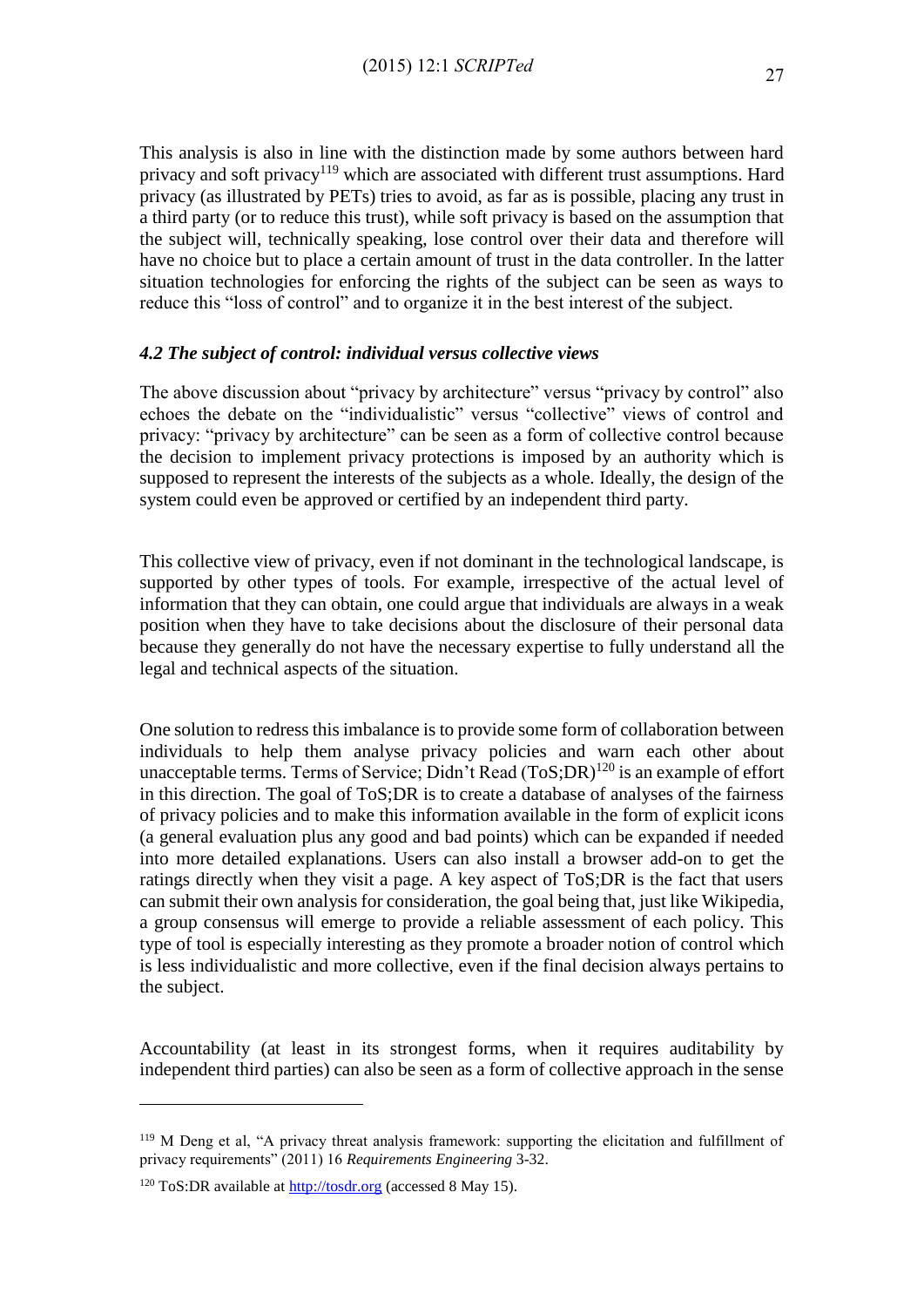This analysis is also in line with the distinction made by some authors between hard privacy and soft privacy<sup>119</sup> which are associated with different trust assumptions. Hard privacy (as illustrated by PETs) tries to avoid, as far as is possible, placing any trust in a third party (or to reduce this trust), while soft privacy is based on the assumption that the subject will, technically speaking, lose control over their data and therefore will have no choice but to place a certain amount of trust in the data controller. In the latter situation technologies for enforcing the rights of the subject can be seen as ways to reduce this "loss of control" and to organize it in the best interest of the subject.

## *4.2 The subject of control: individual versus collective views*

The above discussion about "privacy by architecture" versus "privacy by control" also echoes the debate on the "individualistic" versus "collective" views of control and privacy: "privacy by architecture" can be seen as a form of collective control because the decision to implement privacy protections is imposed by an authority which is supposed to represent the interests of the subjects as a whole. Ideally, the design of the system could even be approved or certified by an independent third party.

This collective view of privacy, even if not dominant in the technological landscape, is supported by other types of tools. For example, irrespective of the actual level of information that they can obtain, one could argue that individuals are always in a weak position when they have to take decisions about the disclosure of their personal data because they generally do not have the necessary expertise to fully understand all the legal and technical aspects of the situation.

One solution to redress this imbalance is to provide some form of collaboration between individuals to help them analyse privacy policies and warn each other about unacceptable terms. Terms of Service; Didn't Read  $(T \circ S; DR)^{120}$  is an example of effort in this direction. The goal of ToS;DR is to create a database of analyses of the fairness of privacy policies and to make this information available in the form of explicit icons (a general evaluation plus any good and bad points) which can be expanded if needed into more detailed explanations. Users can also install a browser add-on to get the ratings directly when they visit a page. A key aspect of ToS;DR is the fact that users can submit their own analysis for consideration, the goal being that, just like Wikipedia, a group consensus will emerge to provide a reliable assessment of each policy. This type of tool is especially interesting as they promote a broader notion of control which is less individualistic and more collective, even if the final decision always pertains to the subject.

Accountability (at least in its strongest forms, when it requires auditability by independent third parties) can also be seen as a form of collective approach in the sense

<sup>119</sup> M Deng et al, "A privacy threat analysis framework: supporting the elicitation and fulfillment of privacy requirements" (2011) 16 *Requirements Engineering* 3-32.

<sup>120</sup> ToS:DR available at [http://tosdr.org](http://tosdr.org/) (accessed 8 May 15).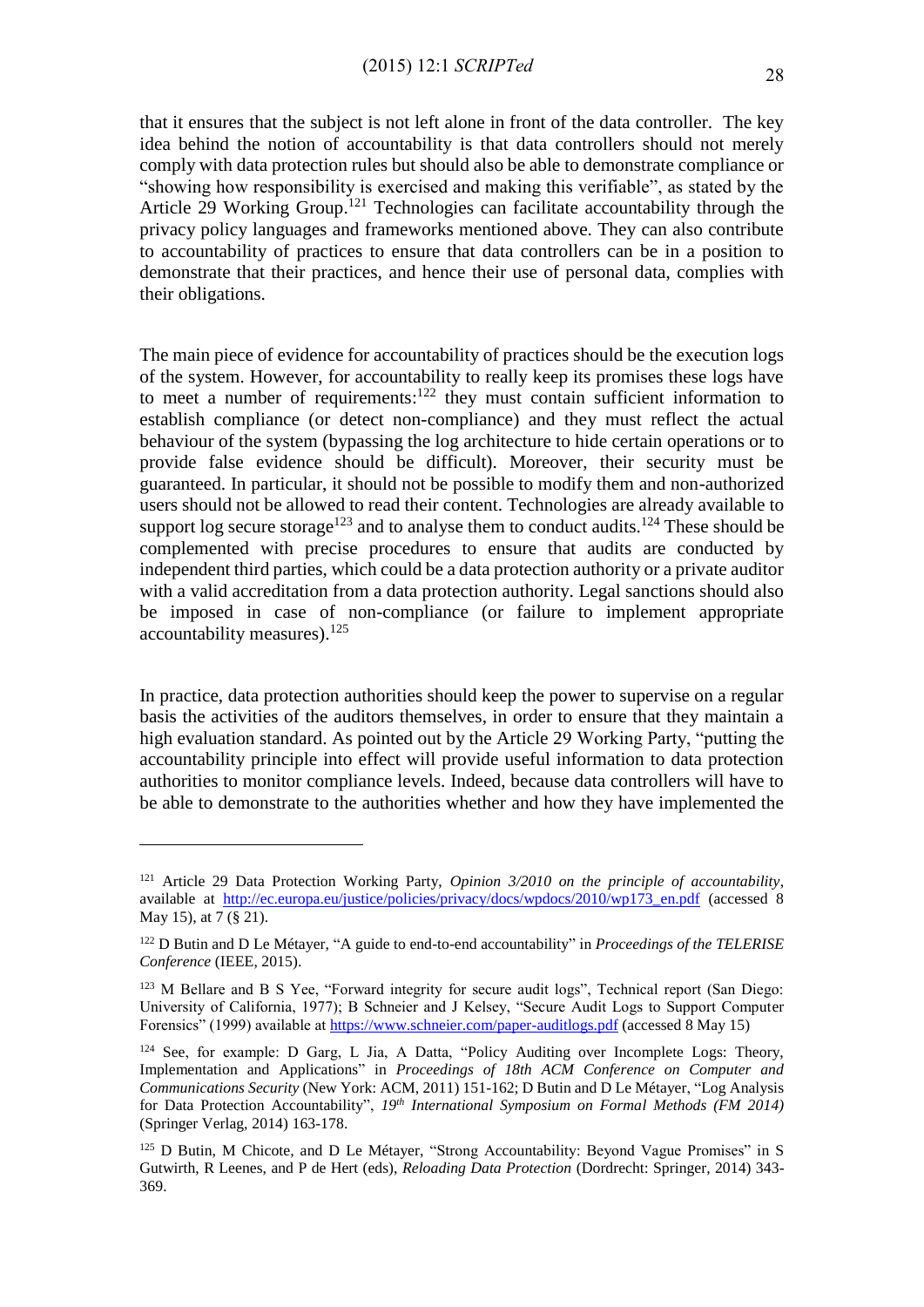that it ensures that the subject is not left alone in front of the data controller. The key idea behind the notion of accountability is that data controllers should not merely comply with data protection rules but should also be able to demonstrate compliance or "showing how responsibility is exercised and making this verifiable", as stated by the Article 29 Working Group.<sup>121</sup> Technologies can facilitate accountability through the privacy policy languages and frameworks mentioned above. They can also contribute to accountability of practices to ensure that data controllers can be in a position to demonstrate that their practices, and hence their use of personal data, complies with their obligations.

The main piece of evidence for accountability of practices should be the execution logs of the system. However, for accountability to really keep its promises these logs have to meet a number of requirements: $122$  they must contain sufficient information to establish compliance (or detect non-compliance) and they must reflect the actual behaviour of the system (bypassing the log architecture to hide certain operations or to provide false evidence should be difficult). Moreover, their security must be guaranteed. In particular, it should not be possible to modify them and non-authorized users should not be allowed to read their content. Technologies are already available to support  $\log$  secure storage<sup>123</sup> and to analyse them to conduct audits.<sup>124</sup> These should be complemented with precise procedures to ensure that audits are conducted by independent third parties, which could be a data protection authority or a private auditor with a valid accreditation from a data protection authority. Legal sanctions should also be imposed in case of non-compliance (or failure to implement appropriate accountability measures). 125

In practice, data protection authorities should keep the power to supervise on a regular basis the activities of the auditors themselves, in order to ensure that they maintain a high evaluation standard. As pointed out by the Article 29 Working Party, "putting the accountability principle into effect will provide useful information to data protection authorities to monitor compliance levels. Indeed, because data controllers will have to be able to demonstrate to the authorities whether and how they have implemented the

<sup>121</sup> Article 29 Data Protection Working Party, *Opinion 3/2010 on the principle of accountability*, available at [http://ec.europa.eu/justice/policies/privacy/docs/wpdocs/2010/wp173\\_en.pdf](http://ec.europa.eu/justice/policies/privacy/docs/wpdocs/2010/wp173_en.pdf) (accessed 8 May 15), at 7 (§ 21).

<sup>122</sup> D Butin and D Le Métayer, "A guide to end-to-end accountability" in *Proceedings of the TELERISE Conference* (IEEE, 2015).

<sup>&</sup>lt;sup>123</sup> M Bellare and B S Yee, "Forward integrity for secure audit logs", Technical report (San Diego: University of California, 1977); B Schneier and J Kelsey, "Secure Audit Logs to Support Computer Forensics" (1999) available a[t https://www.schneier.com/paper-auditlogs.pdf](https://www.schneier.com/paper-auditlogs.pdf) (accessed 8 May 15)

<sup>&</sup>lt;sup>124</sup> See, for example: D Garg, L Jia, A Datta, "Policy Auditing over Incomplete Logs: Theory, Implementation and Applications" in *Proceedings of 18th ACM Conference on Computer and Communications Security* (New York: ACM, 2011) 151-162; D Butin and D Le Métayer, "Log Analysis for Data Protection Accountability", *19th International Symposium on Formal Methods (FM 2014)* (Springer Verlag, 2014) 163-178.

<sup>&</sup>lt;sup>125</sup> D Butin, M Chicote, and D Le Métayer, "Strong Accountability: Beyond Vague Promises" in S Gutwirth, R Leenes, and P de Hert (eds), *Reloading Data Protection* (Dordrecht: Springer, 2014) 343- 369.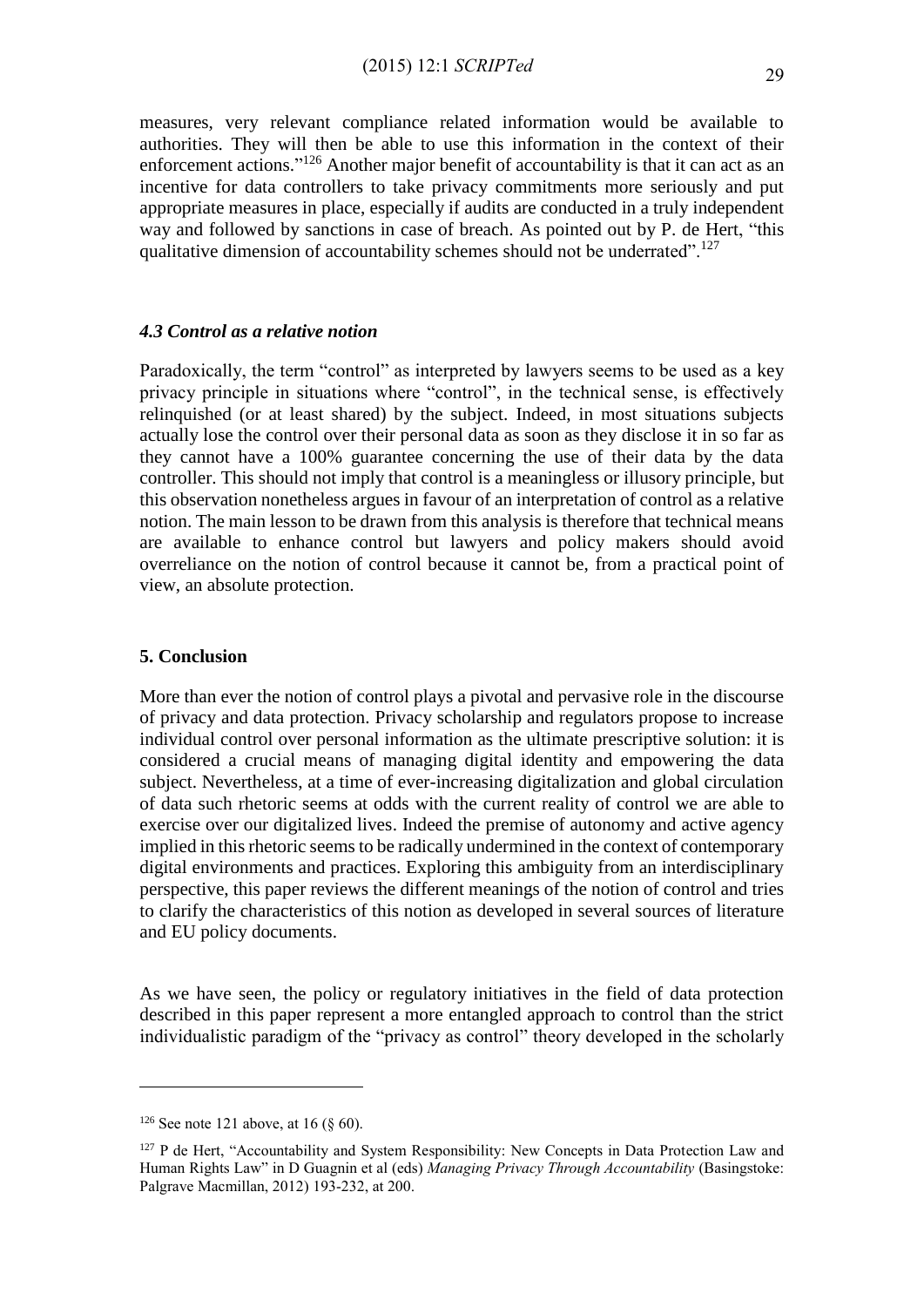measures, very relevant compliance related information would be available to authorities. They will then be able to use this information in the context of their enforcement actions."<sup>126</sup> Another major benefit of accountability is that it can act as an incentive for data controllers to take privacy commitments more seriously and put appropriate measures in place, especially if audits are conducted in a truly independent way and followed by sanctions in case of breach. As pointed out by P. de Hert, "this qualitative dimension of accountability schemes should not be underrated".<sup>127</sup>

#### *4.3 Control as a relative notion*

Paradoxically, the term "control" as interpreted by lawyers seems to be used as a key privacy principle in situations where "control", in the technical sense, is effectively relinquished (or at least shared) by the subject. Indeed, in most situations subjects actually lose the control over their personal data as soon as they disclose it in so far as they cannot have a 100% guarantee concerning the use of their data by the data controller. This should not imply that control is a meaningless or illusory principle, but this observation nonetheless argues in favour of an interpretation of control as a relative notion. The main lesson to be drawn from this analysis is therefore that technical means are available to enhance control but lawyers and policy makers should avoid overreliance on the notion of control because it cannot be, from a practical point of view, an absolute protection.

## **5. Conclusion**

More than ever the notion of control plays a pivotal and pervasive role in the discourse of privacy and data protection. Privacy scholarship and regulators propose to increase individual control over personal information as the ultimate prescriptive solution: it is considered a crucial means of managing digital identity and empowering the data subject. Nevertheless, at a time of ever-increasing digitalization and global circulation of data such rhetoric seems at odds with the current reality of control we are able to exercise over our digitalized lives. Indeed the premise of autonomy and active agency implied in this rhetoric seems to be radically undermined in the context of contemporary digital environments and practices. Exploring this ambiguity from an interdisciplinary perspective, this paper reviews the different meanings of the notion of control and tries to clarify the characteristics of this notion as developed in several sources of literature and EU policy documents.

As we have seen, the policy or regulatory initiatives in the field of data protection described in this paper represent a more entangled approach to control than the strict individualistic paradigm of the "privacy as control" theory developed in the scholarly

<sup>&</sup>lt;sup>126</sup> See note 121 above, at 16 ( $\S$  60).

<sup>&</sup>lt;sup>127</sup> P de Hert, "Accountability and System Responsibility: New Concepts in Data Protection Law and Human Rights Law" in D Guagnin et al (eds) *Managing Privacy Through Accountability* (Basingstoke: Palgrave Macmillan, 2012) 193-232, at 200.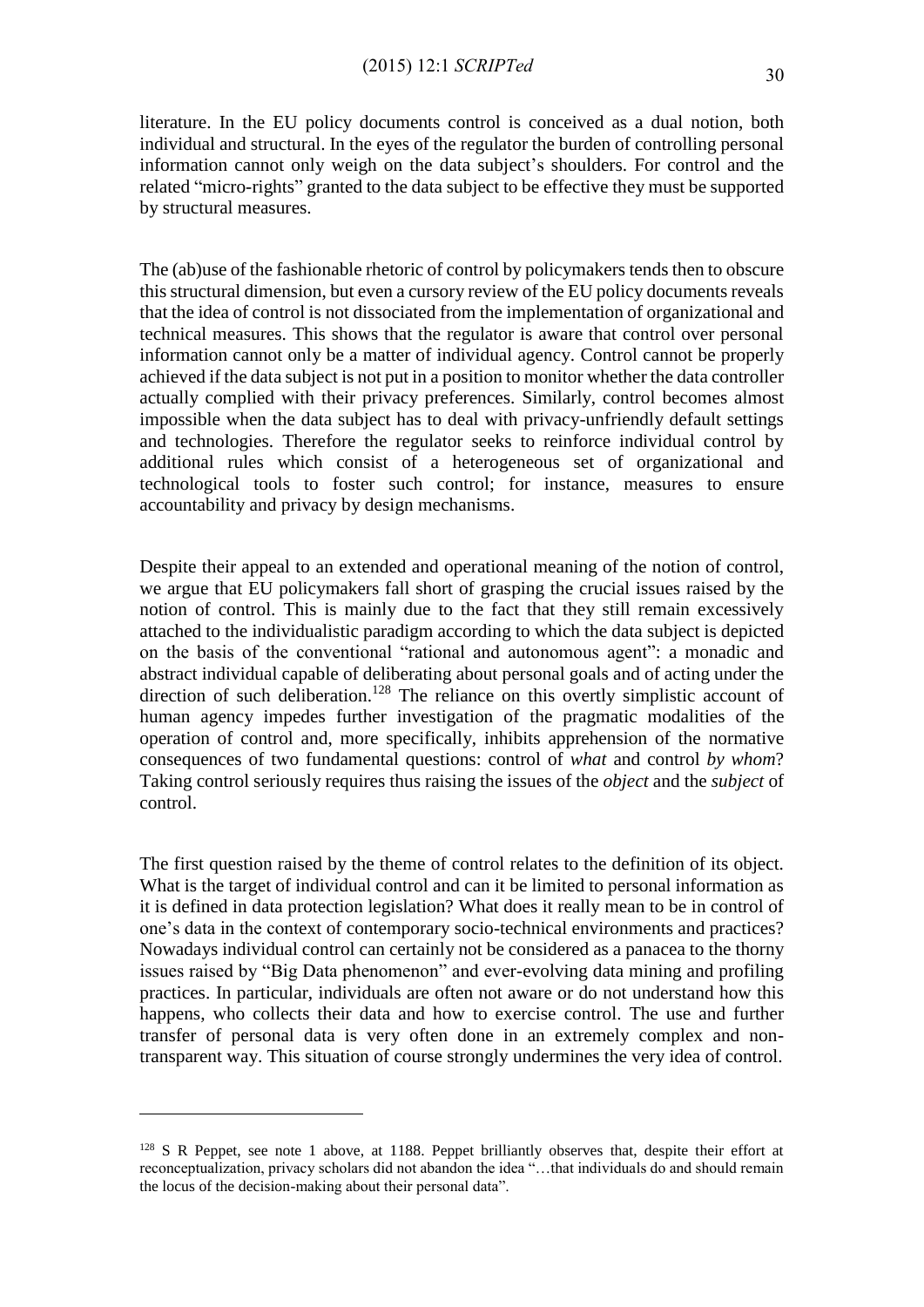literature. In the EU policy documents control is conceived as a dual notion, both individual and structural. In the eyes of the regulator the burden of controlling personal information cannot only weigh on the data subject's shoulders. For control and the related "micro-rights" granted to the data subject to be effective they must be supported by structural measures.

The (ab)use of the fashionable rhetoric of control by policymakers tends then to obscure this structural dimension, but even a cursory review of the EU policy documents reveals that the idea of control is not dissociated from the implementation of organizational and technical measures. This shows that the regulator is aware that control over personal information cannot only be a matter of individual agency. Control cannot be properly achieved if the data subject is not put in a position to monitor whether the data controller actually complied with their privacy preferences. Similarly, control becomes almost impossible when the data subject has to deal with privacy-unfriendly default settings and technologies. Therefore the regulator seeks to reinforce individual control by additional rules which consist of a heterogeneous set of organizational and technological tools to foster such control; for instance, measures to ensure accountability and privacy by design mechanisms.

Despite their appeal to an extended and operational meaning of the notion of control, we argue that EU policymakers fall short of grasping the crucial issues raised by the notion of control. This is mainly due to the fact that they still remain excessively attached to the individualistic paradigm according to which the data subject is depicted on the basis of the conventional "rational and autonomous agent": a monadic and abstract individual capable of deliberating about personal goals and of acting under the direction of such deliberation.<sup>128</sup> The reliance on this overtly simplistic account of human agency impedes further investigation of the pragmatic modalities of the operation of control and, more specifically, inhibits apprehension of the normative consequences of two fundamental questions: control of *what* and control *by whom*? Taking control seriously requires thus raising the issues of the *object* and the *subject* of control.

The first question raised by the theme of control relates to the definition of its object. What is the target of individual control and can it be limited to personal information as it is defined in data protection legislation? What does it really mean to be in control of one's data in the context of contemporary socio-technical environments and practices? Nowadays individual control can certainly not be considered as a panacea to the thorny issues raised by "Big Data phenomenon" and ever-evolving data mining and profiling practices. In particular, individuals are often not aware or do not understand how this happens, who collects their data and how to exercise control. The use and further transfer of personal data is very often done in an extremely complex and nontransparent way. This situation of course strongly undermines the very idea of control.

<sup>&</sup>lt;sup>128</sup> S R Peppet, see note 1 above, at 1188. Peppet brilliantly observes that, despite their effort at reconceptualization, privacy scholars did not abandon the idea "…that individuals do and should remain the locus of the decision-making about their personal data".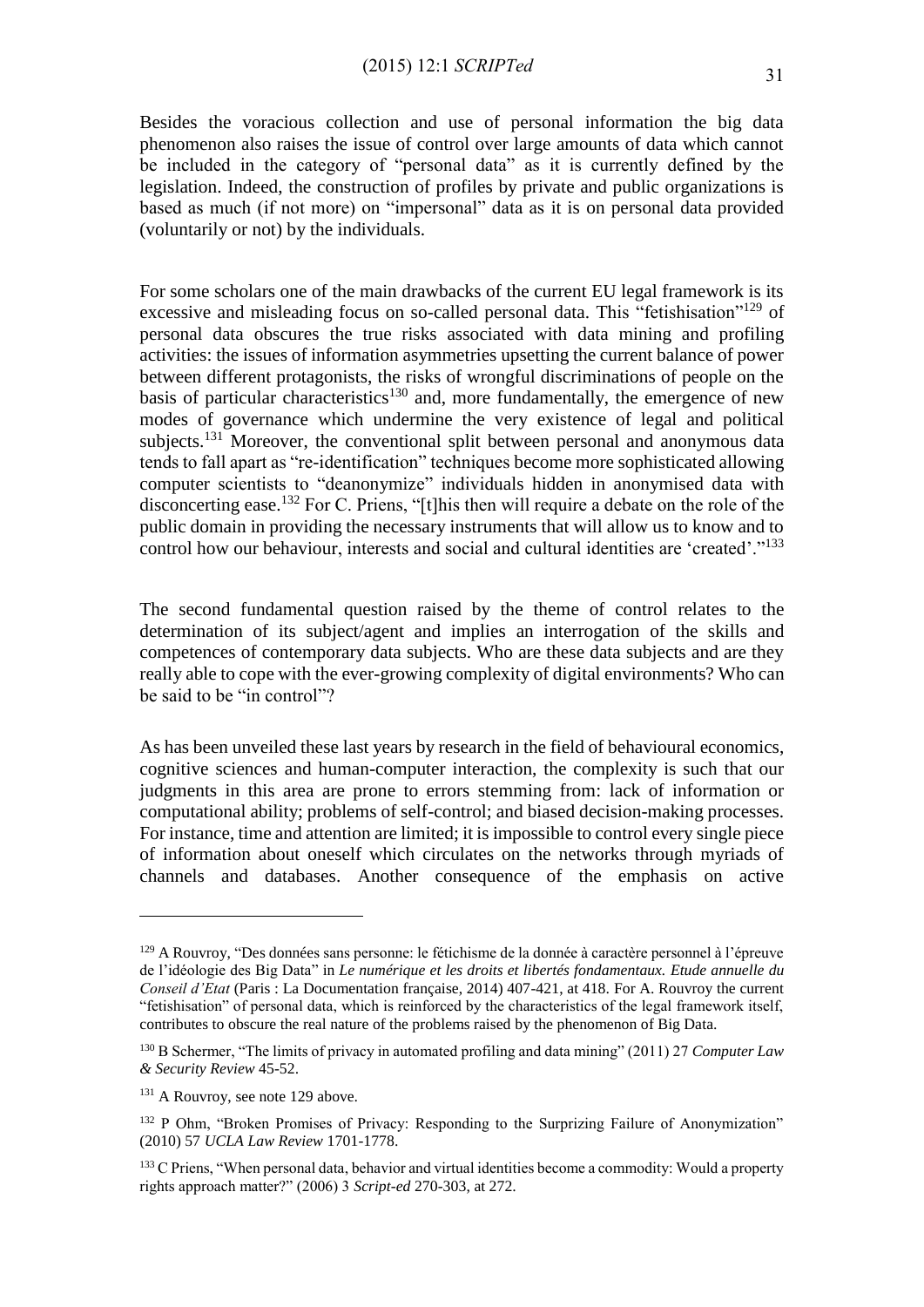Besides the voracious collection and use of personal information the big data phenomenon also raises the issue of control over large amounts of data which cannot be included in the category of "personal data" as it is currently defined by the legislation. Indeed, the construction of profiles by private and public organizations is based as much (if not more) on "impersonal" data as it is on personal data provided (voluntarily or not) by the individuals.

For some scholars one of the main drawbacks of the current EU legal framework is its excessive and misleading focus on so-called personal data. This "fetishisation"<sup>129</sup> of personal data obscures the true risks associated with data mining and profiling activities: the issues of information asymmetries upsetting the current balance of power between different protagonists, the risks of wrongful discriminations of people on the basis of particular characteristics<sup>130</sup> and, more fundamentally, the emergence of new modes of governance which undermine the very existence of legal and political subjects.<sup>131</sup> Moreover, the conventional split between personal and anonymous data tends to fall apart as "re-identification" techniques become more sophisticated allowing computer scientists to "deanonymize" individuals hidden in anonymised data with disconcerting ease.<sup>132</sup> For C. Priens, "[t]his then will require a debate on the role of the public domain in providing the necessary instruments that will allow us to know and to control how our behaviour, interests and social and cultural identities are 'created'."<sup>133</sup>

The second fundamental question raised by the theme of control relates to the determination of its subject/agent and implies an interrogation of the skills and competences of contemporary data subjects. Who are these data subjects and are they really able to cope with the ever-growing complexity of digital environments? Who can be said to be "in control"?

As has been unveiled these last years by research in the field of behavioural economics, cognitive sciences and human-computer interaction, the complexity is such that our judgments in this area are prone to errors stemming from: lack of information or computational ability; problems of self-control; and biased decision-making processes. For instance, time and attention are limited; it is impossible to control every single piece of information about oneself which circulates on the networks through myriads of channels and databases. Another consequence of the emphasis on active

<sup>129</sup> A Rouvroy, "Des données sans personne: le fétichisme de la donnée à caractère personnel à l'épreuve de l'idéologie des Big Data" in *Le numérique et les droits et libertés fondamentaux. Etude annuelle du Conseil d'Etat* (Paris : La Documentation française, 2014) 407-421, at 418. For A. Rouvroy the current "fetishisation" of personal data, which is reinforced by the characteristics of the legal framework itself, contributes to obscure the real nature of the problems raised by the phenomenon of Big Data.

<sup>130</sup> B Schermer, "The limits of privacy in automated profiling and data mining" (2011) 27 *Computer Law & Security Review* 45-52.

<sup>&</sup>lt;sup>131</sup> A Rouvroy, see note 129 above.

<sup>&</sup>lt;sup>132</sup> P Ohm, "Broken Promises of Privacy: Responding to the Surprizing Failure of Anonymization" (2010) 57 *UCLA Law Review* 1701-1778.

 $133$  C Priens, "When personal data, behavior and virtual identities become a commodity: Would a property rights approach matter?" (2006) 3 *Script-ed* 270-303, at 272.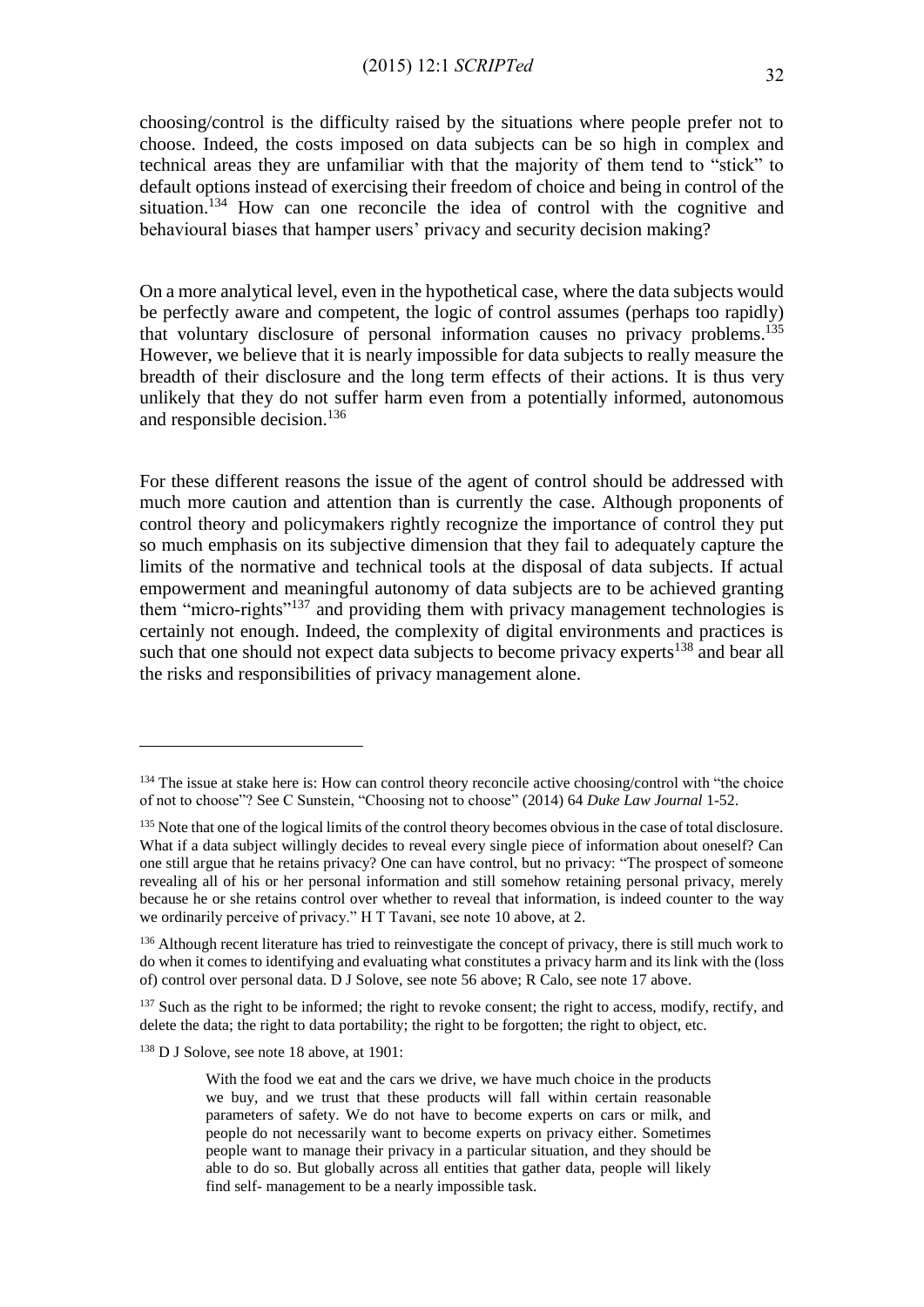choosing/control is the difficulty raised by the situations where people prefer not to choose. Indeed, the costs imposed on data subjects can be so high in complex and technical areas they are unfamiliar with that the majority of them tend to "stick" to default options instead of exercising their freedom of choice and being in control of the situation.<sup>134</sup> How can one reconcile the idea of control with the cognitive and behavioural biases that hamper users' privacy and security decision making?

On a more analytical level, even in the hypothetical case, where the data subjects would be perfectly aware and competent, the logic of control assumes (perhaps too rapidly) that voluntary disclosure of personal information causes no privacy problems.<sup>135</sup> However, we believe that it is nearly impossible for data subjects to really measure the breadth of their disclosure and the long term effects of their actions. It is thus very unlikely that they do not suffer harm even from a potentially informed, autonomous and responsible decision. 136

For these different reasons the issue of the agent of control should be addressed with much more caution and attention than is currently the case. Although proponents of control theory and policymakers rightly recognize the importance of control they put so much emphasis on its subjective dimension that they fail to adequately capture the limits of the normative and technical tools at the disposal of data subjects. If actual empowerment and meaningful autonomy of data subjects are to be achieved granting them "micro-rights"<sup>137</sup> and providing them with privacy management technologies is certainly not enough. Indeed, the complexity of digital environments and practices is such that one should not expect data subjects to become privacy experts<sup>138</sup> and bear all the risks and responsibilities of privacy management alone.

<sup>&</sup>lt;sup>134</sup> The issue at stake here is: How can control theory reconcile active choosing/control with "the choice of not to choose"? See C Sunstein, "Choosing not to choose" (2014) 64 *Duke Law Journal* 1-52.

<sup>&</sup>lt;sup>135</sup> Note that one of the logical limits of the control theory becomes obvious in the case of total disclosure. What if a data subject willingly decides to reveal every single piece of information about oneself? Can one still argue that he retains privacy? One can have control, but no privacy: "The prospect of someone revealing all of his or her personal information and still somehow retaining personal privacy, merely because he or she retains control over whether to reveal that information, is indeed counter to the way we ordinarily perceive of privacy." H T Tavani, see note 10 above, at 2.

<sup>&</sup>lt;sup>136</sup> Although recent literature has tried to reinvestigate the concept of privacy, there is still much work to do when it comes to identifying and evaluating what constitutes a privacy harm and its link with the (loss of) control over personal data. D J Solove, see note 56 above; R Calo, see note 17 above.

<sup>&</sup>lt;sup>137</sup> Such as the right to be informed; the right to revoke consent; the right to access, modify, rectify, and delete the data; the right to data portability; the right to be forgotten; the right to object, etc.

 $138$  D J Solove, see note 18 above, at 1901:

With the food we eat and the cars we drive, we have much choice in the products we buy, and we trust that these products will fall within certain reasonable parameters of safety. We do not have to become experts on cars or milk, and people do not necessarily want to become experts on privacy either. Sometimes people want to manage their privacy in a particular situation, and they should be able to do so. But globally across all entities that gather data, people will likely find self- management to be a nearly impossible task.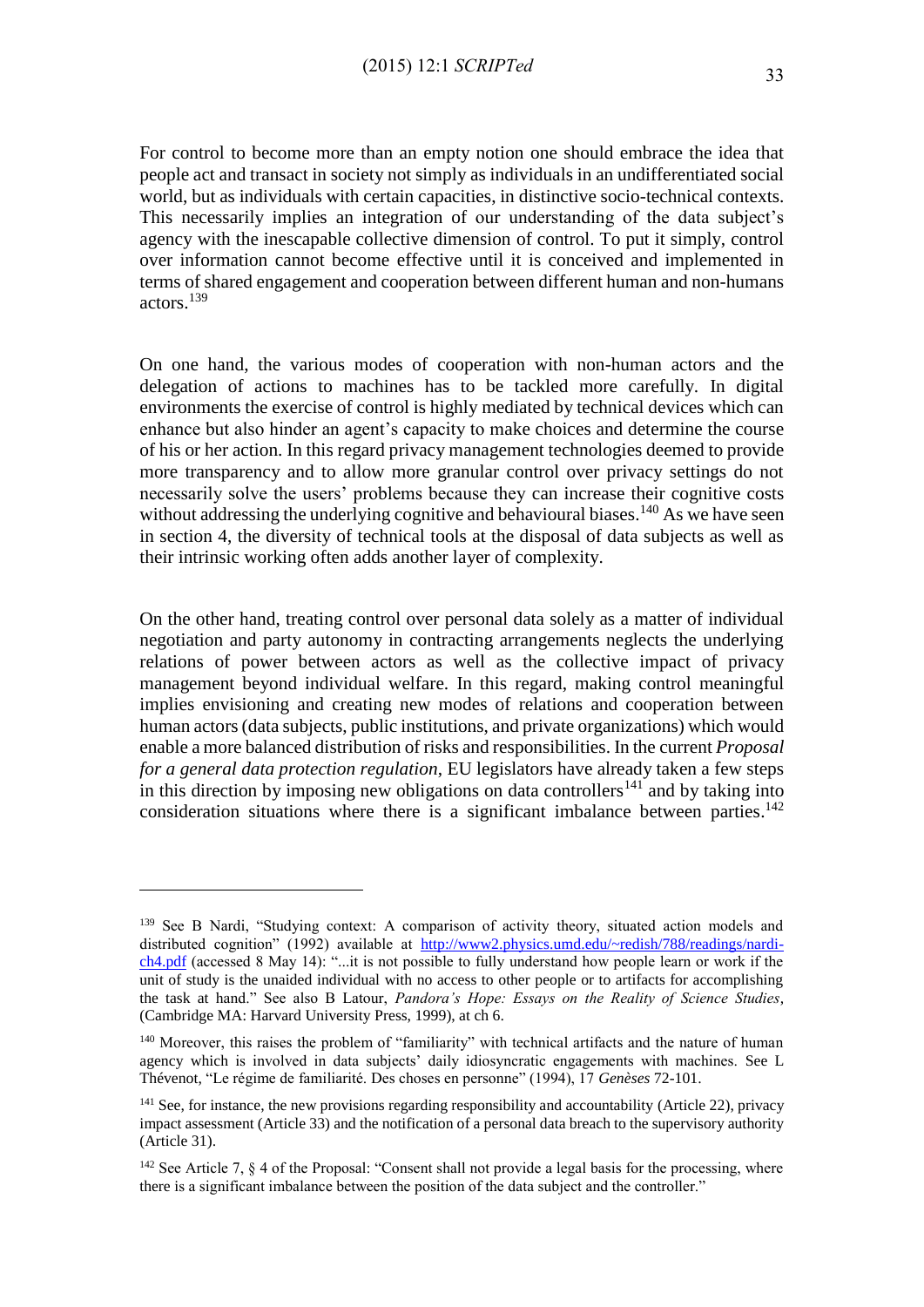For control to become more than an empty notion one should embrace the idea that people act and transact in society not simply as individuals in an undifferentiated social world, but as individuals with certain capacities, in distinctive socio-technical contexts. This necessarily implies an integration of our understanding of the data subject's agency with the inescapable collective dimension of control. To put it simply, control over information cannot become effective until it is conceived and implemented in terms of shared engagement and cooperation between different human and non-humans actors. 139

On one hand, the various modes of cooperation with non-human actors and the delegation of actions to machines has to be tackled more carefully. In digital environments the exercise of control is highly mediated by technical devices which can enhance but also hinder an agent's capacity to make choices and determine the course of his or her action. In this regard privacy management technologies deemed to provide more transparency and to allow more granular control over privacy settings do not necessarily solve the users' problems because they can increase their cognitive costs without addressing the underlying cognitive and behavioural biases.<sup>140</sup> As we have seen in section 4, the diversity of technical tools at the disposal of data subjects as well as their intrinsic working often adds another layer of complexity.

On the other hand, treating control over personal data solely as a matter of individual negotiation and party autonomy in contracting arrangements neglects the underlying relations of power between actors as well as the collective impact of privacy management beyond individual welfare. In this regard, making control meaningful implies envisioning and creating new modes of relations and cooperation between human actors (data subjects, public institutions, and private organizations) which would enable a more balanced distribution of risks and responsibilities. In the current *Proposal for a general data protection regulation*, EU legislators have already taken a few steps in this direction by imposing new obligations on data controllers<sup>141</sup> and by taking into consideration situations where there is a significant imbalance between parties. $^{142}$ 

<sup>&</sup>lt;sup>139</sup> See B Nardi, "Studying context: A comparison of activity theory, situated action models and distributed cognition" (1992) available at [http://www2.physics.umd.edu/~redish/788/readings/nardi](http://www2.physics.umd.edu/~redish/788/readings/nardi-ch4.pdf)[ch4.pdf](http://www2.physics.umd.edu/~redish/788/readings/nardi-ch4.pdf) (accessed 8 May 14): "...it is not possible to fully understand how people learn or work if the unit of study is the unaided individual with no access to other people or to artifacts for accomplishing the task at hand." See also B Latour, *Pandora's Hope: Essays on the Reality of Science Studies*, (Cambridge MA: Harvard University Press, 1999), at ch 6.

<sup>140</sup> Moreover, this raises the problem of "familiarity" with technical artifacts and the nature of human agency which is involved in data subjects' daily idiosyncratic engagements with machines. See L Thévenot, "Le régime de familiarité. Des choses en personne" (1994), 17 *Genèses* 72-101.

<sup>&</sup>lt;sup>141</sup> See, for instance, the new provisions regarding responsibility and accountability (Article 22), privacy impact assessment (Article 33) and the notification of a personal data breach to the supervisory authority (Article 31).

<sup>&</sup>lt;sup>142</sup> See Article 7, 8 4 of the Proposal: "Consent shall not provide a legal basis for the processing, where there is a significant imbalance between the position of the data subject and the controller."